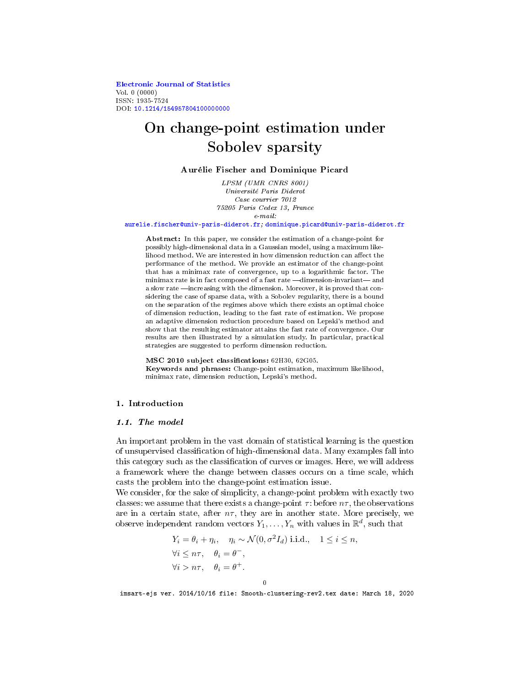[Electronic Journal of Statistics](http://projecteuclid.org/ejs) Vol. 0 (0000) ISSN: 1935-7524 DOI: [10.1214/154957804100000000](http://dx.doi.org/10.1214/154957804100000000)

# On change-point estimation under Sobolev sparsity

## Aurélie Fischer and Dominique Picard

LPSM (UMR CNRS 8001) Université Paris Diderot Case courrier 7012 75205 Paris Cedex 13, France e-mail:

#### [aurelie.fischer@univ-paris-diderot.fr;](mailto:aurelie.fischer@univ-paris-diderot.fr) [dominique.picard@univ-paris-diderot.fr](mailto:dominique.picard@univ-paris-diderot.fr)

Abstract: In this paper, we consider the estimation of a change-point for possibly high-dimensional data in a Gaussian model, using a maximum likelihood method. We are interested in how dimension reduction can affect the performance of the method. We provide an estimator of the change-point that has a minimax rate of convergence, up to a logarithmic factor. The minimax rate is in fact composed of a fast rate -dimension-invariant-and a slow rate —increasing with the dimension. Moreover, it is proved that considering the case of sparse data, with a Sobolev regularity, there is a bound on the separation of the regimes above which there exists an optimal choice of dimension reduction, leading to the fast rate of estimation. We propose an adaptive dimension reduction procedure based on Lepski's method and show that the resulting estimator attains the fast rate of convergence. Our results are then illustrated by a simulation study. In particular, practical strategies are suggested to perform dimension reduction.

MSC 2010 subject classifications: 62H30, 62G05. Keywords and phrases: Change-point estimation, maximum likelihood, minimax rate, dimension reduction, Lepski's method.

## 1. Introduction

#### 1.1. The model

An important problem in the vast domain of statistical learning is the question of unsupervised classification of high-dimensional data. Many examples fall into this category such as the classification of curves or images. Here, we will address a framework where the change between classes occurs on a time scale, which casts the problem into the change-point estimation issue.

We consider, for the sake of simplicity, a change-point problem with exactly two classes: we assume that there exists a change-point  $\tau$ : before  $n\tau$ , the observations are in a certain state, after  $n\tau$ , they are in another state. More precisely, we observe independent random vectors  $Y_1, \ldots, Y_n$  with values in  $\mathbb{R}^d$ , such that

$$
Y_i = \theta_i + \eta_i, \quad \eta_i \sim \mathcal{N}(0, \sigma^2 I_d) \text{ i.i.d., } 1 \le i \le n,
$$
  
\n
$$
\forall i \le n\tau, \quad \theta_i = \theta^-,
$$
  
\n
$$
\forall i > n\tau, \quad \theta_i = \theta^+.
$$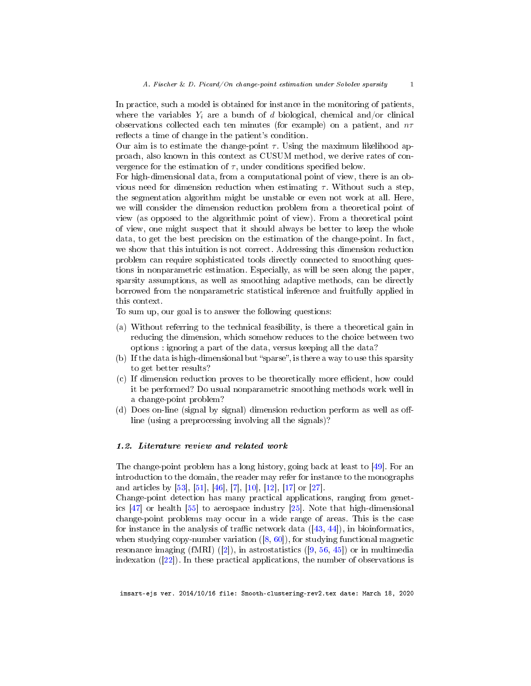In practice, such a model is obtained for instance in the monitoring of patients, where the variables  $Y_i$  are a bunch of d biological, chemical and/or clinical observations collected each ten minutes (for example) on a patient, and  $n\tau$ reflects a time of change in the patient's condition.

Our aim is to estimate the change-point  $\tau$ . Using the maximum likelihood approach, also known in this context as CUSUM method, we derive rates of convergence for the estimation of  $\tau$ , under conditions specified below.

For high-dimensional data, from a computational point of view, there is an obvious need for dimension reduction when estimating  $\tau$ . Without such a step, the segmentation algorithm might be unstable or even not work at all. Here, we will consider the dimension reduction problem from a theoretical point of view (as opposed to the algorithmic point of view). From a theoretical point of view, one might suspect that it should always be better to keep the whole data, to get the best precision on the estimation of the change-point. In fact, we show that this intuition is not correct. Addressing this dimension reduction problem can require sophisticated tools directly connected to smoothing questions in nonparametric estimation. Especially, as will be seen along the paper, sparsity assumptions, as well as smoothing adaptive methods, can be directly borrowed from the nonparametric statistical inference and fruitfully applied in this context.

To sum up, our goal is to answer the following questions:

- (a) Without referring to the technical feasibility, is there a theoretical gain in reducing the dimension, which somehow reduces to the choice between two options : ignoring a part of the data, versus keeping all the data?
- (b) If the data is high-dimensional but "sparse", is there a way to use this sparsity to get better results?
- (c) If dimension reduction proves to be theoretically more efficient, how could it be performed? Do usual nonparametric smoothing methods work well in a change-point problem?
- $(d)$  Does on-line (signal by signal) dimension reduction perform as well as offline (using a preprocessing involving all the signals)?

## 1.2. Literature review and related work

The change-point problem has a long history, going back at least to [\[49\]](#page-42-0). For an introduction to the domain, the reader may refer for instance to the monographs and articles by [\[53\]](#page-42-1), [\[51\]](#page-42-2), [\[46\]](#page-42-3), [\[7\]](#page-40-0), [\[10\]](#page-40-1), [\[12\]](#page-40-2), [\[17\]](#page-40-3) or [\[27\]](#page-41-0).

Change-point detection has many practical applications, ranging from genetics [\[47\]](#page-42-4) or health [\[55\]](#page-42-5) to aerospace industry [\[25\]](#page-41-1). Note that high-dimensional change-point problems may occur in a wide range of areas. This is the case for instance in the analysis of traffic network data  $([43, 44])$  $([43, 44])$  $([43, 44])$  $([43, 44])$  $([43, 44])$ , in bioinformatics, when studying copy-number variation  $([8, 60])$  $([8, 60])$  $([8, 60])$  $([8, 60])$  $([8, 60])$ , for studying functional magnetic resonance imaging (fMRI) ([\[2\]](#page-39-0)), in astrostatistics ([\[9,](#page-40-5) [56,](#page-42-8) [45\]](#page-42-9)) or in multimedia indexation ([\[22\]](#page-40-6)). In these practical applications, the number of observations is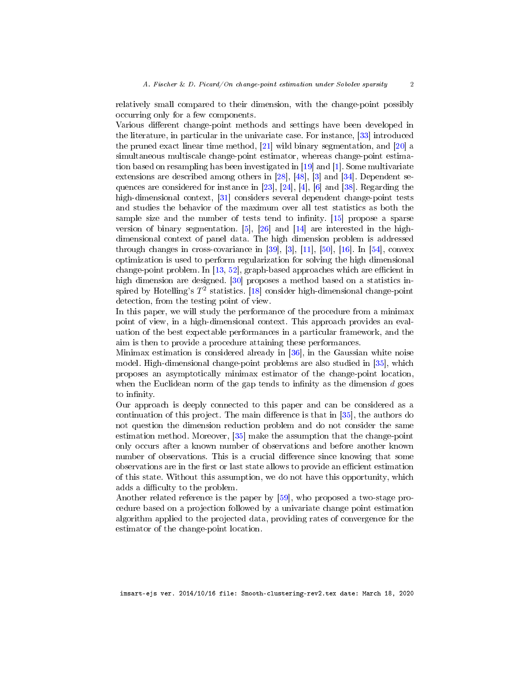relatively small compared to their dimension, with the change-point possibly occurring only for a few components.

Various different change-point methods and settings have been developed in the literature, in particular in the univariate case. For instance, [\[33\]](#page-41-2) introduced the pruned exact linear time method, [\[21\]](#page-40-7) wild binary segmentation, and [\[20\]](#page-40-8) a simultaneous multiscale change-point estimator, whereas change-point estimation based on resampling has been investigated in [\[19\]](#page-40-9) and [\[1\]](#page-39-1). Some multivariate extensions are described among others in [\[28\]](#page-41-3), [\[48\]](#page-42-10), [\[3\]](#page-39-2) and [\[34\]](#page-41-4). Dependent sequences are considered for instance in [\[23\]](#page-40-10), [\[24\]](#page-41-5), [\[4\]](#page-39-3), [\[6\]](#page-40-11) and [\[38\]](#page-41-6). Regarding the high-dimensional context, [\[31\]](#page-41-7) considers several dependent change-point tests and studies the behavior of the maximum over all test statistics as both the sample size and the number of tests tend to infinity.  $[15]$  propose a sparse version of binary segmentation.  $[5]$ ,  $[26]$  and  $[14]$  are interested in the highdimensional context of panel data. The high dimension problem is addressed through changes in cross-covariance in [\[39\]](#page-41-9), [\[3\]](#page-39-2), [\[11\]](#page-40-15), [\[50\]](#page-42-11), [\[16\]](#page-40-16). In [\[54\]](#page-42-12), convex optimization is used to perform regularization for solving the high dimensional change-point problem. In  $[13, 52]$  $[13, 52]$  $[13, 52]$ , graph-based approaches which are efficient in high dimension are designed. [\[30\]](#page-41-10) proposes a method based on a statistics inspired by Hotelling's  $T^2$  statistics. [\[18\]](#page-40-18) consider high-dimensional change-point detection, from the testing point of view.

In this paper, we will study the performance of the procedure from a minimax point of view, in a high-dimensional context. This approach provides an evaluation of the best expectable performances in a particular framework, and the aim is then to provide a procedure attaining these performances.

Minimax estimation is considered already in [\[36\]](#page-41-11), in the Gaussian white noise model. High-dimensional change-point problems are also studied in [\[35\]](#page-41-12), which proposes an asymptotically minimax estimator of the change-point location, when the Euclidean norm of the gap tends to infinity as the dimension  $d$  goes to infinity.

Our approach is deeply connected to this paper and can be considered as a continuation of this project. The main difference is that in  $[35]$ , the authors do not question the dimension reduction problem and do not consider the same estimation method. Moreover, [\[35\]](#page-41-12) make the assumption that the change-point only occurs after a known number of observations and before another known number of observations. This is a crucial difference since knowing that some observations are in the first or last state allows to provide an efficient estimation of this state. Without this assumption, we do not have this opportunity, which adds a difficulty to the problem.

Another related reference is the paper by [\[59\]](#page-42-14), who proposed a two-stage procedure based on a projection followed by a univariate change point estimation algorithm applied to the projected data, providing rates of convergence for the estimator of the change-point location.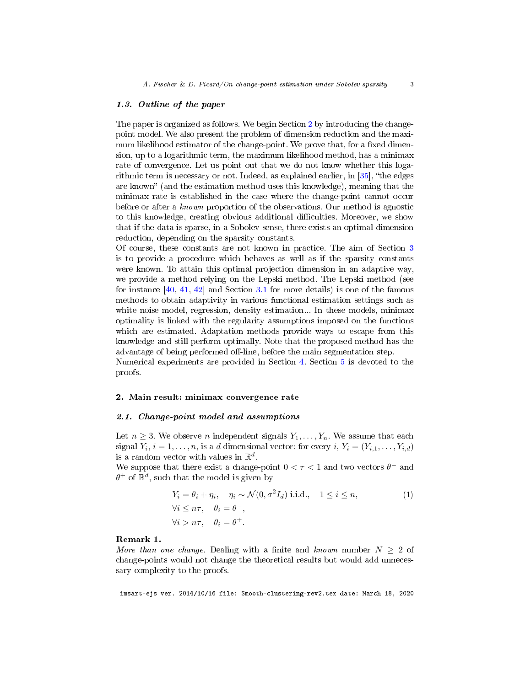#### 1.3. Outline of the paper

The paper is organized as follows. We begin Section [2](#page-3-0) by introducing the changepoint model. We also present the problem of dimension reduction and the maximum likelihood estimator of the change-point. We prove that, for a fixed dimension, up to a logarithmic term, the maximum likelihood method, has a minimax rate of convergence. Let us point out that we do not know whether this logarithmic term is necessary or not. Indeed, as explained earlier, in  $[35]$ , "the edges are known" (and the estimation method uses this knowledge), meaning that the minimax rate is established in the case where the change-point cannot occur before or after a known proportion of the observations. Our method is agnostic to this knowledge, creating obvious additional difficulties. Moreover, we show that if the data is sparse, in a Sobolev sense, there exists an optimal dimension reduction, depending on the sparsity constants.

Of course, these constants are not known in practice. The aim of Section [3](#page-10-0) is to provide a procedure which behaves as well as if the sparsity constants were known. To attain this optimal projection dimension in an adaptive way, we provide a method relying on the Lepski method. The Lepski method (see for instance  $[40, 41, 42]$  $[40, 41, 42]$  $[40, 41, 42]$  $[40, 41, 42]$  $[40, 41, 42]$  and Section [3.1](#page-11-0) for more details) is one of the famous methods to obtain adaptivity in various functional estimation settings such as white noise model, regression, density estimation... In these models, minimax optimality is linked with the regularity assumptions imposed on the functions which are estimated. Adaptation methods provide ways to escape from this knowledge and still perform optimally. Note that the proposed method has the advantage of being performed off-line, before the main segmentation step.

Numerical experiments are provided in Section [4.](#page-13-0) Section [5](#page-17-0) is devoted to the proofs.

#### <span id="page-3-0"></span>2. Main result: minimax convergence rate

## 2.1. Change-point model and assumptions

Let  $n \geq 3$ . We observe *n* independent signals  $Y_1, \ldots, Y_n$ . We assume that each signal  $Y_i$ ,  $i = 1, \ldots, n$ , is a d dimensional vector: for every  $i$ ,  $Y_i = (Y_{i,1}, \ldots, Y_{i,d})$ is a random vector with values in  $\mathbb{R}^d$ .

We suppose that there exist a change-point  $0 < \tau < 1$  and two vectors  $\theta^-$  and  $\theta^+$  of  $\mathbb{R}^d$ , such that the model is given by

<span id="page-3-1"></span>
$$
Y_i = \theta_i + \eta_i, \quad \eta_i \sim \mathcal{N}(0, \sigma^2 I_d) \text{ i.i.d., } 1 \le i \le n,
$$
  
\n
$$
\forall i \le n\tau, \quad \theta_i = \theta^-,
$$
  
\n
$$
\forall i > n\tau, \quad \theta_i = \theta^+.
$$
 (1)

#### Remark 1.

More than one change. Dealing with a finite and known number  $N \geq 2$  of change-points would not change the theoretical results but would add unnecessary complexity to the proofs.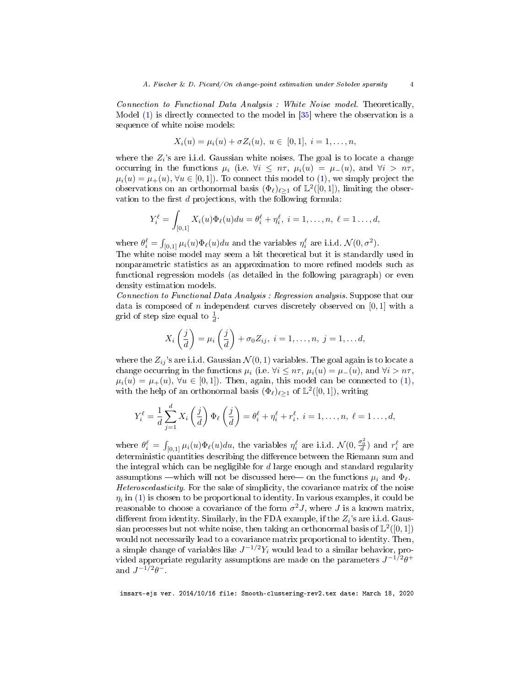Connection to Functional Data Analysis : White Noise model. Theoretically, Model [\(1\)](#page-3-1) is directly connected to the model in [\[35\]](#page-41-12) where the observation is a sequence of white noise models:

$$
X_i(u) = \mu_i(u) + \sigma Z_i(u), \ u \in [0,1], \ i = 1, \ldots, n,
$$

where the  $Z_i$ 's are i.i.d. Gaussian white noises. The goal is to locate a change occurring in the functions  $\mu_i$  (i.e.  $\forall i \leq n\tau$ ,  $\mu_i(u) = \mu_-(u)$ , and  $\forall i > n\tau$ ,  $\mu_i(u) = \mu_+(u), \forall u \in [0,1]$ . To connect this model to [\(1\)](#page-3-1), we simply project the observations on an orthonormal basis  $(\Phi_{\ell})_{\ell \geq 1}$  of  $\mathbb{L}^{2}([0,1])$ , limiting the observation to the first  $d$  projections, with the following formula:

$$
Y_i^{\ell} = \int_{[0,1]} X_i(u) \Phi_{\ell}(u) du = \theta_i^{\ell} + \eta_i^{\ell}, \ i = 1, \dots, n, \ \ell = 1 \dots, d,
$$

where  $\theta_i^{\ell} = \int_{[0,1]} \mu_i(u) \Phi_{\ell}(u) du$  and the variables  $\eta_i^{\ell}$  are i.i.d.  $\mathcal{N}(0, \sigma^2)$ .

The white noise model may seem a bit theoretical but it is standardly used in nonparametric statistics as an approximation to more refined models such as functional regression models (as detailed in the following paragraph) or even density estimation models.

Connection to Functional Data Analysis : Regression analysis. Suppose that our data is composed of n independent curves discretely observed on  $[0, 1]$  with a grid of step size equal to  $\frac{1}{d}$ .

$$
X_i\left(\frac{j}{d}\right) = \mu_i\left(\frac{j}{d}\right) + \sigma_0 Z_{ij}, \ i = 1, \dots, n, \ j = 1, \dots d,
$$

where the  $Z_{ij}$ 's are i.i.d. Gaussian  $\mathcal{N}(0,1)$  variables. The goal again is to locate a change occurring in the functions  $\mu_i$  (i.e.  $\forall i \leq n\tau$ ,  $\mu_i(u) = \mu_-(u)$ , and  $\forall i > n\tau$ ,  $\mu_i(u) = \mu_+(u), \forall u \in [0,1]$ . Then, again, this model can be connected to [\(1\)](#page-3-1), with the help of an orthonormal basis  $(\Phi_{\ell})_{\ell \geq 1}$  of  $\mathbb{L}^2([0,1])$ , writing

$$
Y_i^{\ell} = \frac{1}{d} \sum_{j=1}^d X_i \left(\frac{j}{d}\right) \Phi_{\ell} \left(\frac{j}{d}\right) = \theta_i^{\ell} + \eta_i^{\ell} + r_i^{\ell}, \ i = 1, \dots, n, \ \ell = 1 \dots, d,
$$

where  $\theta_i^{\ell} = \int_{[0,1]} \mu_i(u) \Phi_{\ell}(u) du$ , the variables  $\eta_i^{\ell}$  are i.i.d.  $\mathcal{N}(0, \frac{\sigma_0^2}{d})$  and  $r_i^{\ell}$  are deterministic quantities describing the difference between the Riemann sum and the integral which can be negligible for  $d$  large enough and standard regularity assumptions —which will not be discussed here on the functions  $\mu_i$  and  $\Phi_\ell$ . Heteroscedasticity. For the sake of simplicity, the covariance matrix of the noise  $\eta_i$  in [\(1\)](#page-3-1) is chosen to be proportional to identity. In various examples, it could be reasonable to choose a covariance of the form  $\sigma^2 J$ , where J is a known matrix, different from identity. Similarly, in the FDA example, if the  $Z_i$ 's are i.i.d. Gaussian processes but not white noise, then taking an orthonormal basis of  $\mathbb{L}^2([0,1])$ would not necessarily lead to a covariance matrix proportional to identity. Then, a simple change of variables like  $J^{-1/2}Y_i$  would lead to a similar behavior, provided appropriate regularity assumptions are made on the parameters  $J^{-1/2}\theta^+$ and  $J^{-1/2}\theta^-$ .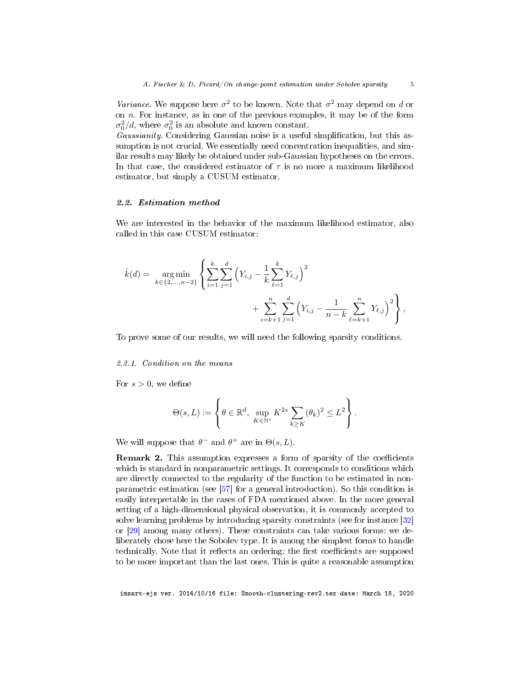Variance. We suppose here  $\sigma^2$  to be known. Note that  $\sigma^2$  may depend on d or on  $n$ . For instance, as in one of the previous examples, it may be of the form  $\sigma_0^2/d$ , where  $\sigma_0^2$  is an absolute and known constant.

Gaussianity. Considering Gaussian noise is a useful simplification, but this assumption is not crucial. We essentially need concentration inequalities, and similar results may likely be obtained under sub-Gaussian hypotheses on the errors. In that case, the considered estimator of  $\tau$  is no more a maximum likelihood estimator, but simply a CUSUM estimator.

#### 2.2. Estimation method

We are interested in the behavior of the maximum likelihood estimator, also called in this case CUSUM estimator:

$$
\hat{k}(d) = \underset{k \in \{2,\ldots,n-2\}}{\arg \min} \left\{ \sum_{i=1}^{k} \sum_{j=1}^{d} \left( Y_{i,j} - \frac{1}{k} \sum_{\ell=1}^{k} Y_{\ell,j} \right)^2 + \sum_{i=k+1}^{n} \sum_{j=1}^{d} \left( Y_{i,j} - \frac{1}{n-k} \sum_{\ell=k+1}^{n} Y_{\ell,j} \right)^2 \right\},
$$

To prove some of our results, we will need the following sparsity conditions.

#### 2.2.1. Condition on the means

For  $s > 0$ , we define

$$
\Theta(s,L) := \left\{\theta \in \mathbb{R}^d, \sup_{K \in \mathbb{N}^*} K^{2s} \sum_{k \geq K} (\theta_k)^2 \leq L^2 \right\}.
$$

We will suppose that  $\theta^-$  and  $\theta^+$  are in  $\Theta(s,L)$ .

Remark 2. This assumption expresses a form of sparsity of the coefficients which is standard in nonparametric settings. It corresponds to conditions which are directly connected to the regularity of the function to be estimated in nonparametric estimation (see [\[57\]](#page-42-15) for a general introduction). So this condition is easily interpretable in the cases of FDA mentioned above. In the more general setting of a high-dimensional physical observation, it is commonly accepted to solve learning problems by introducing sparsity constraints (see for instance [\[32\]](#page-41-16) or [\[29\]](#page-41-17) among many others). These constraints can take various forms: we deliberately chose here the Sobolev type. It is among the simplest forms to handle technically. Note that it reflects an ordering: the first coefficients are supposed to be more important than the last ones. This is quite a reasonable assumption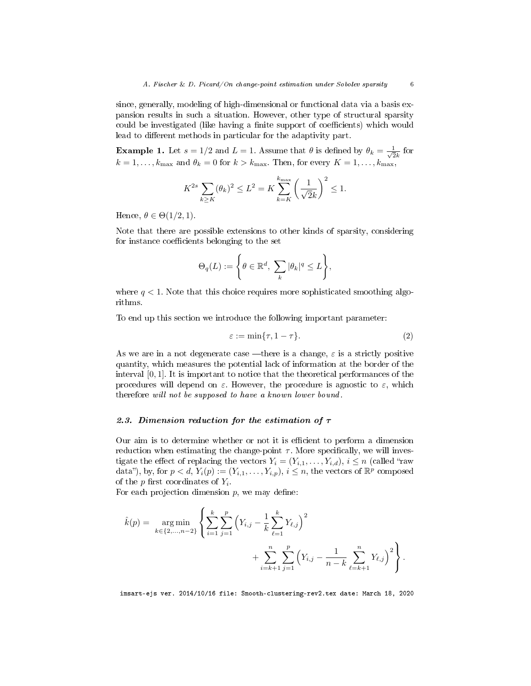since, generally, modeling of high-dimensional or functional data via a basis expansion results in such a situation. However, other type of structural sparsity could be investigated (like having a finite support of coefficients) which would lead to different methods in particular for the adaptivity part.

**Example 1.** Let  $s = 1/2$  and  $L = 1$ . Assume that  $\theta$  is defined by  $\theta_k = \frac{1}{\sqrt{2}}$  $\frac{1}{2k}$  for  $k = 1, \ldots, k_{\text{max}}$  and  $\theta_k = 0$  for  $k > k_{\text{max}}$ . Then, for every  $K = 1, \ldots, k_{\text{max}}$ ,

$$
K^{2s} \sum_{k \ge K} (\theta_k)^2 \le L^2 = K \sum_{k=K}^{k_{\text{max}}} \left(\frac{1}{\sqrt{2}k}\right)^2 \le 1.
$$

Hence,  $\theta \in \Theta(1/2, 1)$ .

Note that there are possible extensions to other kinds of sparsity, considering for instance coefficients belonging to the set

$$
\Theta_q(L) := \left\{ \theta \in \mathbb{R}^d, \sum_k |\theta_k|^q \leq L \right\},\
$$

where  $q < 1$ . Note that this choice requires more sophisticated smoothing algorithms.

To end up this section we introduce the following important parameter:

$$
\varepsilon := \min\{\tau, 1 - \tau\}.\tag{2}
$$

As we are in a not degenerate case —there is a change,  $\varepsilon$  is a strictly positive quantity, which measures the potential lack of information at the border of the interval  $[0, 1]$ . It is important to notice that the theoretical performances of the procedures will depend on  $\varepsilon$ . However, the procedure is agnostic to  $\varepsilon$ , which therefore will not be supposed to have a known lower bound.

#### 2.3. Dimension reduction for the estimation of  $\tau$

Our aim is to determine whether or not it is efficient to perform a dimension reduction when estimating the change-point  $\tau$ . More specifically, we will investigate the effect of replacing the vectors  $Y_i = (Y_{i,1}, \ldots, Y_{i,d}), i \leq n$  (called "raw data"), by, for  $p < d$ ,  $Y_i(p) := (Y_{i,1}, \ldots, Y_{i,p}), i \leq n$ , the vectors of  $\mathbb{R}^p$  composed of the  $p$  first coordinates of  $Y_i$ .

For each projection dimension  $p$ , we may define:

$$
\hat{k}(p) = \underset{k \in \{2,\ldots,n-2\}}{\arg \min} \left\{ \sum_{i=1}^{k} \sum_{j=1}^{p} \left( Y_{i,j} - \frac{1}{k} \sum_{\ell=1}^{k} Y_{\ell,j} \right)^2 + \sum_{i=k+1}^{n} \sum_{j=1}^{p} \left( Y_{i,j} - \frac{1}{n-k} \sum_{\ell=k+1}^{n} Y_{\ell,j} \right)^2 \right\}.
$$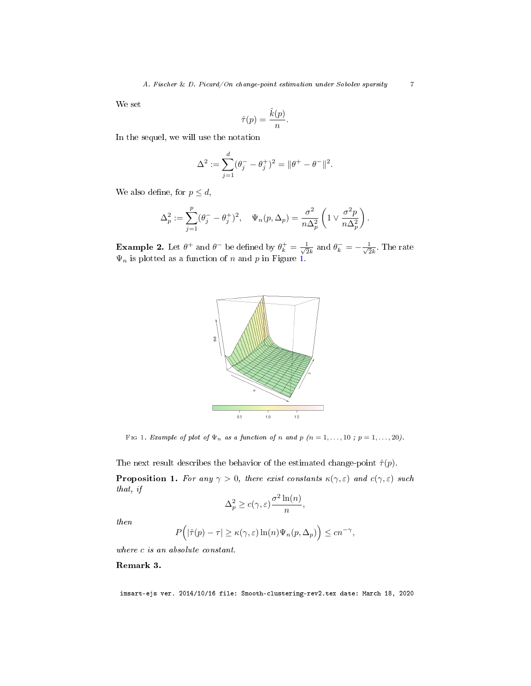We set

$$
\hat{\tau}(p) = \frac{\hat{k}(p)}{n}.
$$

In the sequel, we will use the notation

$$
\Delta^2 := \sum_{j=1}^d (\theta_j^- - \theta_j^+)^2 = \|\theta^+ - \theta^-\|^2.
$$

We also define, for  $p \leq d$ ,

$$
\Delta_p^2 := \sum_{j=1}^p (\theta_j^- - \theta_j^+)^2, \quad \Psi_n(p, \Delta_p) = \frac{\sigma^2}{n\Delta_p^2} \left(1 \vee \frac{\sigma^2 p}{n\Delta_p^2}\right).
$$

**Example 2.** Let  $\theta^+$  and  $\theta^-$  be defined by  $\theta_k^+ = \frac{1}{\sqrt{2}}$  $\frac{1}{2k}$  and  $\theta_k^- = -\frac{1}{\sqrt{2}}$  $\frac{1}{2k}$ . The rate  $\Psi_n$  is plotted as a function of n and p in Figure [1.](#page-7-0)



Fig 1. Example of plot of  $\Psi_n$  as a function of n and p  $(n = 1, \ldots, 10; p = 1, \ldots, 20)$ .

The next result describes the behavior of the estimated change-point  $\hat{\tau}(p)$ .

<span id="page-7-1"></span>**Proposition 1.** For any  $\gamma > 0$ , there exist constants  $\kappa(\gamma, \varepsilon)$  and  $c(\gamma, \varepsilon)$  such that, if

<span id="page-7-0"></span>
$$
\Delta_p^2 \ge c(\gamma, \varepsilon) \frac{\sigma^2 \ln(n)}{n},
$$

then

$$
P(|\hat{\tau}(p) - \tau| \ge \kappa(\gamma, \varepsilon) \ln(n) \Psi_n(p, \Delta_p) \le cn^{-\gamma},
$$

where c is an absolute constant.

## Remark 3.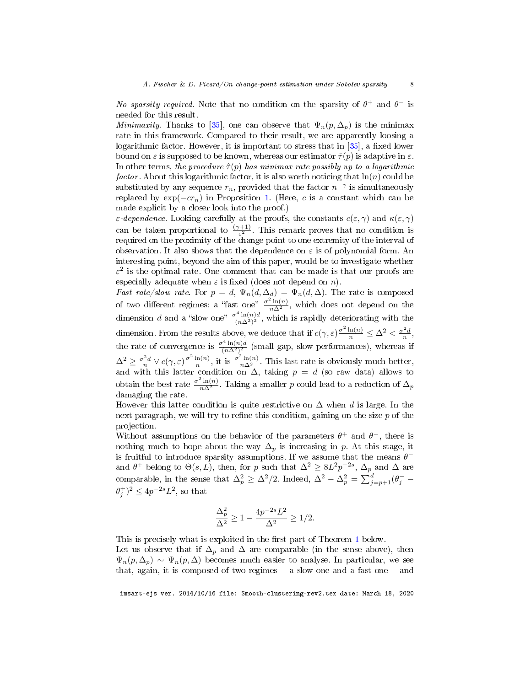No sparsity required. Note that no condition on the sparsity of  $\theta^+$  and  $\theta^-$  is needed for this result.

Minimaxity. Thanks to [\[35\]](#page-41-12), one can observe that  $\Psi_n(p,\Delta_p)$  is the minimax rate in this framework. Compared to their result, we are apparently loosing a logarithmic factor. However, it is important to stress that in  $[35]$ , a fixed lower bound on  $\varepsilon$  is supposed to be known, whereas our estimator  $\hat{\tau}(p)$  is adaptive in  $\varepsilon$ . In other terms, the procedure  $\hat{\tau}(p)$  has minimax rate possibly up to a logarithmic factor. About this logarithmic factor, it is also worth noticing that  $\ln(n)$  could be substituted by any sequence  $r_n$ , provided that the factor  $n^{-\gamma}$  is simultaneously replaced by  $\exp(-cr_n)$  in Proposition [1.](#page-7-1) (Here, c is a constant which can be made explicit by a closer look into the proof.)

 $\varepsilon$ -dependence. Looking carefully at the proofs, the constants  $c(\varepsilon, \gamma)$  and  $\kappa(\varepsilon, \gamma)$ can be taken proportional to  $\frac{(\gamma+1)}{\varepsilon^2}$ . This remark proves that no condition is required on the proximity of the change point to one extremity of the interval of observation. It also shows that the dependence on  $\varepsilon$  is of polynomial form. An interesting point, beyond the aim of this paper, would be to investigate whether  $\varepsilon^2$  is the optimal rate. One comment that can be made is that our proofs are especially adequate when  $\varepsilon$  is fixed (does not depend on n).

Fast rate/slow rate. For  $p = d$ ,  $\Psi_n(d, \Delta_d) = \Psi_n(d, \Delta)$ . The rate is composed of two different regimes: a "fast one"  $\frac{\sigma^2 \ln(n)}{n\Delta^2}$ , which does not depend on the dimension d and a "slow one"  $\frac{\sigma^4 \ln(n)d}{(n\Delta^2)^2}$ , which is rapidly deteriorating with the dimension. From the results above, we deduce that if  $c(\gamma, \varepsilon) \frac{\sigma^2 \ln(n)}{n} \leq \Delta^2 < \frac{\sigma^2 d}{n}$ , the rate of convergence is  $\frac{\sigma^4 \ln(n)d}{(n\Delta^2)^2}$  (small gap, slow performances), whereas if  $\Delta^2 \geq \frac{\sigma^2 d}{n} \vee c(\gamma, \varepsilon) \frac{\sigma^2 \ln(n)}{n}$  $\frac{\ln(n)}{n}$ , it is  $\frac{\sigma^2 \ln(n)}{n\Delta^2}$ . This last rate is obviously much better, and with this latter condition on  $\Delta$ , taking  $p = d$  (so raw data) allows to obtain the best rate  $\frac{\sigma^2 \ln(n)}{n\Delta^2}$ . Taking a smaller p could lead to a reduction of  $\Delta_p$ damaging the rate.

However this latter condition is quite restrictive on  $\Delta$  when d is large. In the next paragraph, we will try to refine this condition, gaining on the size  $p$  of the projection.

Without assumptions on the behavior of the parameters  $\theta^+$  and  $\theta^-$ , there is nothing much to hope about the way  $\Delta_p$  is increasing in p. At this stage, it is fruitful to introduce sparsity assumptions. If we assume that the means  $\theta^$ and  $\theta^+$  belong to  $\Theta(s, L)$ , then, for p such that  $\Delta^2 \geq 8L^2p^{-2s}$ ,  $\Delta_p$  and  $\Delta$  are comparable, in the sense that  $\Delta_p^2 \geq \Delta^2/2$ . Indeed,  $\Delta^2 - \Delta_p^2 = \sum_{j=p+1}^d (\theta_j - \theta_j)$  $(\theta_j^+)^2 \le 4p^{-2s}L^2$ , so that

$$
\frac{\Delta_p^2}{\Delta^2} \ge 1 - \frac{4p^{-2s}L^2}{\Delta^2} \ge 1/2.
$$

This is precisely what is exploited in the first part of Theorem [1](#page-9-0) below. Let us observe that if  $\Delta_p$  and  $\Delta$  are comparable (in the sense above), then  $\Psi_n(p, \Delta_p) \sim \Psi_n(p, \Delta)$  becomes much easier to analyse. In particular, we see that, again, it is composed of two regimes  $-a$  slow one and a fast one and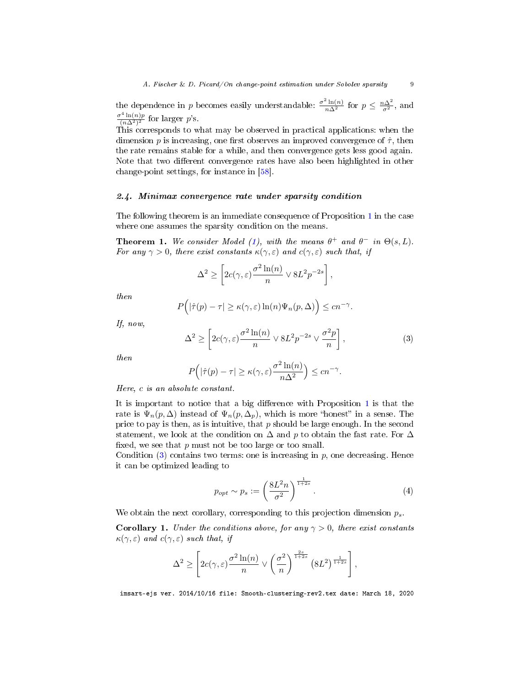the dependence in p becomes easily understandable:  $\frac{\sigma^2 \ln(n)}{n\Delta^2}$  for  $p \leq \frac{n\Delta^2}{\sigma^2}$ , and  $\frac{\sigma^4 \ln(n)p}{(n\Delta^2)^2}$  for larger p's.

This corresponds to what may be observed in practical applications: when the dimension p is increasing, one first observes an improved convergence of  $\hat{\tau}$ , then the rate remains stable for a while, and then convergence gets less good again. Note that two different convergence rates have also been highlighted in other change-point settings, for instance in [\[58\]](#page-42-16).

## 2.4. Minimax convergence rate under sparsity condition

The following theorem is an immediate consequence of Proposition [1](#page-7-1) in the case where one assumes the sparsity condition on the means.

<span id="page-9-0"></span>**Theorem 1.** We consider Model [\(1\)](#page-3-1), with the means  $\theta^+$  and  $\theta^-$  in  $\Theta(s,L)$ . For any  $\gamma > 0$ , there exist constants  $\kappa(\gamma, \varepsilon)$  and  $c(\gamma, \varepsilon)$  such that, if

$$
\Delta^{2} \ge \left[2c(\gamma,\varepsilon)\frac{\sigma^{2}\ln(n)}{n} \vee 8L^{2}p^{-2s}\right],
$$

then

$$
P(|\hat{\tau}(p) - \tau| \ge \kappa(\gamma, \varepsilon) \ln(n) \Psi_n(p, \Delta) \Big) \le cn^{-\gamma}.
$$

If, now,

<span id="page-9-1"></span>
$$
\Delta^2 \ge \left[2c(\gamma,\varepsilon)\frac{\sigma^2 \ln(n)}{n} \vee 8L^2 p^{-2s} \vee \frac{\sigma^2 p}{n}\right],\tag{3}
$$

then

$$
P(|\hat{\tau}(p) - \tau| \ge \kappa(\gamma, \varepsilon) \frac{\sigma^2 \ln(n)}{n\Delta^2} \le cn^{-\gamma}.
$$

Here, c is an absolute constant.

It is important to notice that a big difference with Proposition  $1$  is that the rate is  $\Psi_n(p,\Delta)$  instead of  $\Psi_n(p,\Delta_p)$ , which is more "honest" in a sense. The price to pay is then, as is intuitive, that  $p$  should be large enough. In the second statement, we look at the condition on  $\Delta$  and p to obtain the fast rate. For  $\Delta$ fixed, we see that  $p$  must not be too large or too small.

Condition  $(3)$  contains two terms: one is increasing in p, one decreasing. Hence it can be optimized leading to

<span id="page-9-2"></span>
$$
p_{opt} \sim p_s := \left(\frac{8L^2 n}{\sigma^2}\right)^{\frac{1}{1+2s}}.\tag{4}
$$

We obtain the next corollary, corresponding to this projection dimension  $p_s$ .

<span id="page-9-3"></span>**Corollary 1.** Under the conditions above, for any  $\gamma > 0$ , there exist constants  $\kappa(\gamma, \varepsilon)$  and  $c(\gamma, \varepsilon)$  such that, if

$$
\Delta^{2} \geq \left[2c(\gamma,\varepsilon)\frac{\sigma^{2}\ln(n)}{n} \vee \left(\frac{\sigma^{2}}{n}\right)^{\frac{2s}{1+2s}} \left(8L^{2}\right)^{\frac{1}{1+2s}}\right],
$$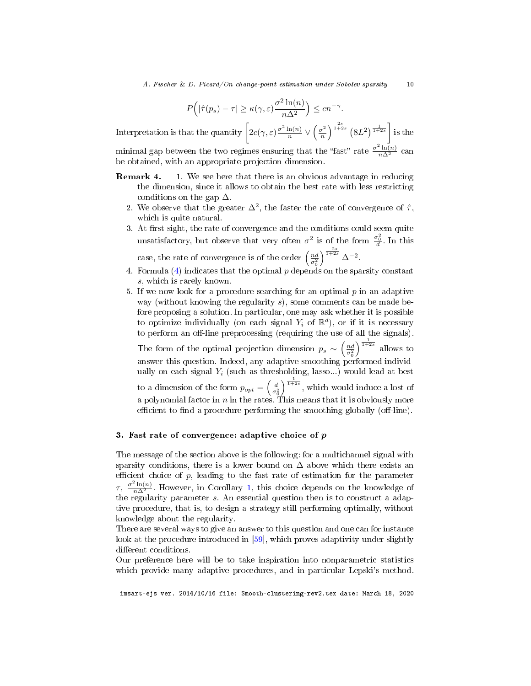$$
P(|\hat{\tau}(p_s) - \tau| \ge \kappa(\gamma, \varepsilon) \frac{\sigma^2 \ln(n)}{n\Delta^2} \le cn^{-\gamma}.
$$

Interpretation is that the quantity  $\int_0^1 2c(\gamma,\varepsilon)\frac{\sigma^2\ln(n)}{n}$  $rac{\ln(n)}{n} \vee \left(\frac{\sigma^2}{n}\right)$  $\left(\frac{\sigma^2}{n}\right)^{\frac{2s}{1+2s}} \left(8L^2\right)^{\frac{1}{1+2s}}$  is the minimal gap between the two regimes ensuring that the "fast" rate  $\frac{\sigma^2 \ln(n)}{n\Delta^2}$  can be obtained, with an appropriate projection dimension.

- Remark 4. 1. We see here that there is an obvious advantage in reducing the dimension, since it allows to obtain the best rate with less restricting conditions on the gap  $\Delta$ .
	- 2. We observe that the greater  $\Delta^2$ , the faster the rate of convergence of  $\hat{\tau}$ , which is quite natural.
	- 3. At first sight, the rate of convergence and the conditions could seem quite unsatisfactory, but observe that very often  $\sigma^2$  is of the form  $\frac{\sigma_0^2}{d}$ . In this case, the rate of convergence is of the order  $\left(\frac{nd}{\sigma_0^2}\right)$  $\int^{\frac{-2s}{1+2s}} \Delta^{-2}.$
	- 4. Formula [\(4\)](#page-9-2) indicates that the optimal  $p$  depends on the sparsity constant s, which is rarely known.
	- 5. If we now look for a procedure searching for an optimal  $p$  in an adaptive way (without knowing the regularity  $s$ ), some comments can be made before proposing a solution. In particular, one may ask whether it is possible to optimize individually (on each signal  $Y_i$  of  $\mathbb{R}^d$ ), or if it is necessary to perform an off-line preprocessing (requiring the use of all the signals).

The form of the optimal projection dimension  $p_s \sim \left(\frac{nd}{\sigma_0^2}\right)$  $\int_{1+2s}^{\frac{1}{1+2s}}$  allows to answer this question. Indeed, any adaptive smoothing performed individually on each signal  $Y_i$  (such as thresholding, lasso...) would lead at best to a dimension of the form  $p_{opt} = \left(\frac{d}{\sigma_0^2}\right)$  $\int_{1+2s}^{\frac{1}{1+2s}}$ , which would induce a lost of a polynomial factor in n in the rates. This means that it is obviously more efficient to find a procedure performing the smoothing globally (off-line).

#### <span id="page-10-0"></span>3. Fast rate of convergence: adaptive choice of p

The message of the section above is the following: for a multichannel signal with sparsity conditions, there is a lower bound on  $\Delta$  above which there exists an efficient choice of  $p$ , leading to the fast rate of estimation for the parameter  $\tau$ ,  $\frac{\sigma^2 \ln(n)}{n\Delta^2}$ . However, in Corollary [1,](#page-9-3) this choice depends on the knowledge of the regularity parameter s. An essential question then is to construct a adaptive procedure, that is, to design a strategy still performing optimally, without knowledge about the regularity.

There are several ways to give an answer to this question and one can for instance look at the procedure introduced in [\[59\]](#page-42-14), which proves adaptivity under slightly different conditions.

Our preference here will be to take inspiration into nonparametric statistics which provide many adaptive procedures, and in particular Lepski's method.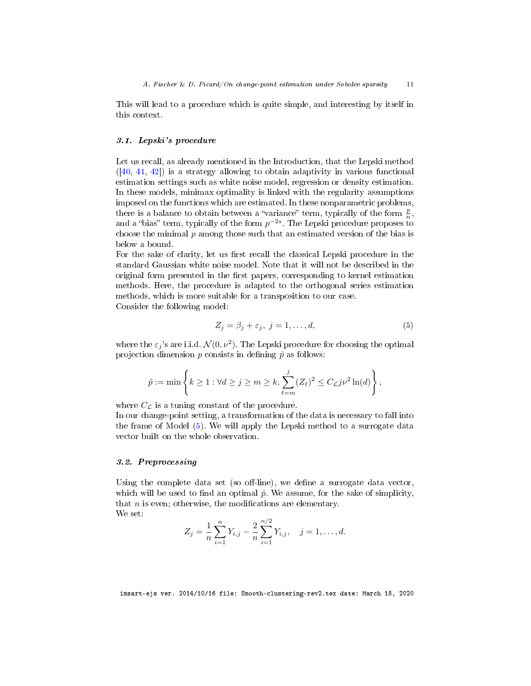This will lead to a procedure which is quite simple, and interesting by itself in this context.

#### <span id="page-11-0"></span>3.1. Lepski's procedure

Let us recall, as already mentioned in the Introduction, that the Lepski method  $([40, 41, 42])$  $([40, 41, 42])$  $([40, 41, 42])$  $([40, 41, 42])$  $([40, 41, 42])$  $([40, 41, 42])$  $([40, 41, 42])$  is a strategy allowing to obtain adaptivity in various functional estimation settings such as white noise model, regression or density estimation. In these models, minimax optimality is linked with the regularity assumptions imposed on the functions which are estimated. In these nonparametric problems, there is a balance to obtain between a "variance" term, typically of the form  $\frac{p}{n}$ , and a "bias" term, typically of the form  $p^{-2s}$ . The Lepski procedure proposes to choose the minimal  $p$  among those such that an estimated version of the bias is below a bound.

For the sake of clarity, let us first recall the classical Lepski procedure in the standard Gaussian white noise model. Note that it will not be described in the original form presented in the first papers, corresponding to kernel estimation methods. Here, the procedure is adapted to the orthogonal series estimation methods, which is more suitable for a transposition to our case. Consider the following model:

<span id="page-11-1"></span>
$$
Z_j = \beta_j + \varepsilon_j, \ j = 1, \dots, d,\tag{5}
$$

where the  $\varepsilon_j$ 's are i.i.d.  $\mathcal{N}(0, \nu^2)$ . The Lepski procedure for choosing the optimal projection dimension  $p$  consists in defining  $\hat{p}$  as follows:

$$
\hat{p} := \min\left\{k \ge 1 : \forall d \ge j \ge m \ge k, \sum_{\ell=m}^j (Z_\ell)^2 \le C_{\mathcal{L}} j \nu^2 \ln(d) \right\},\
$$

where  $C_{\mathcal{L}}$  is a tuning constant of the procedure.

In our change-point setting, a transformation of the data is necessary to fall into the frame of Model [\(5\)](#page-11-1). We will apply the Lepski method to a surrogate data vector built on the whole observation.

# 3.2. Preprocessing

Using the complete data set (so off-line), we define a surrogate data vector, which will be used to find an optimal  $\hat{p}$ . We assume, for the sake of simplicity, that  $n$  is even; otherwise, the modifications are elementary. We set:

$$
Z_j = \frac{1}{n} \sum_{i=1}^n Y_{i,j} - \frac{2}{n} \sum_{i=1}^{n/2} Y_{i,j}, \quad j = 1, \dots, d.
$$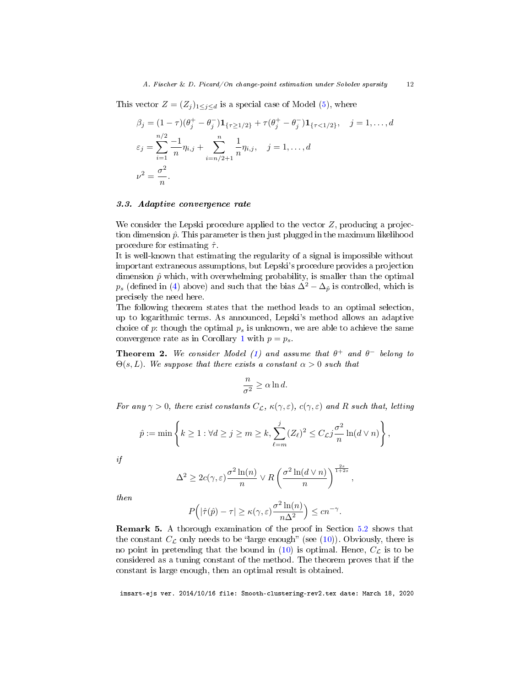This vector  $Z = (Z_j)_{1 \leq j \leq d}$  is a special case of Model [\(5\)](#page-11-1), where

$$
\beta_j = (1 - \tau)(\theta_j^+ - \theta_j^-)\mathbf{1}_{\{\tau \ge 1/2\}} + \tau(\theta_j^+ - \theta_j^-)\mathbf{1}_{\{\tau < 1/2\}}, \quad j = 1, \dots, d
$$
\n
$$
\varepsilon_j = \sum_{i=1}^{n/2} \frac{-1}{n} \eta_{i,j} + \sum_{i=n/2+1}^n \frac{1}{n} \eta_{i,j}, \quad j = 1, \dots, d
$$
\n
$$
\nu^2 = \frac{\sigma^2}{n}.
$$

#### 3.3. Adaptive convergence rate

We consider the Lepski procedure applied to the vector  $Z$ , producing a projection dimension  $\hat{p}$ . This parameter is then just plugged in the maximum likelihood procedure for estimating  $\hat{\tau}$ .

It is well-known that estimating the regularity of a signal is impossible without important extraneous assumptions, but Lepski's procedure provides a projection dimension  $\hat{p}$  which, with overwhelming probability, is smaller than the optimal  $p_s$  (defined in [\(4\)](#page-9-2) above) and such that the bias  $\Delta^2 - \Delta_{\hat{p}}$  is controlled, which is precisely the need here.

The following theorem states that the method leads to an optimal selection, up to logarithmic terms. As announced, Lepski's method allows an adaptive choice of p: though the optimal  $p_s$  is unknown, we are able to achieve the same convergence rate as in Corollary [1](#page-9-3) with  $p = p_s$ .

<span id="page-12-0"></span>**Theorem 2.** We consider Model [\(1\)](#page-3-1) and assume that  $\theta^+$  and  $\theta^-$  belong to  $\Theta(s, L)$ . We suppose that there exists a constant  $\alpha > 0$  such that

$$
\frac{n}{\sigma^2} \ge \alpha \ln d.
$$

For any  $\gamma > 0$ , there exist constants  $C_{\mathcal{L}}$ ,  $\kappa(\gamma, \varepsilon)$ ,  $c(\gamma, \varepsilon)$  and R such that, letting

$$
\hat{p} := \min\left\{k \ge 1 : \forall d \ge j \ge m \ge k, \sum_{\ell=m}^j (Z_\ell)^2 \le C_{\mathcal{L}} j \frac{\sigma^2}{n} \ln(d \vee n) \right\},\
$$

if

$$
\Delta^2 \ge 2c(\gamma, \varepsilon) \frac{\sigma^2 \ln(n)}{n} \vee R\left(\frac{\sigma^2 \ln(d \vee n)}{n}\right)^{\frac{2s}{1+2s}},
$$

then

$$
P(|\hat{\tau}(\hat{p}) - \tau| \ge \kappa(\gamma, \varepsilon) \frac{\sigma^2 \ln(n)}{n\Delta^2} \le cn^{-\gamma}.
$$

Remark 5. A thorough examination of the proof in Section [5.2](#page-33-0) shows that the constant  $C_{\mathcal{L}}$  only needs to be "large enough" (see [\(10\)](#page-34-0)). Obviously, there is no point in pretending that the bound in [\(10\)](#page-34-0) is optimal. Hence,  $C_{\mathcal{L}}$  is to be considered as a tuning constant of the method. The theorem proves that if the constant is large enough, then an optimal result is obtained.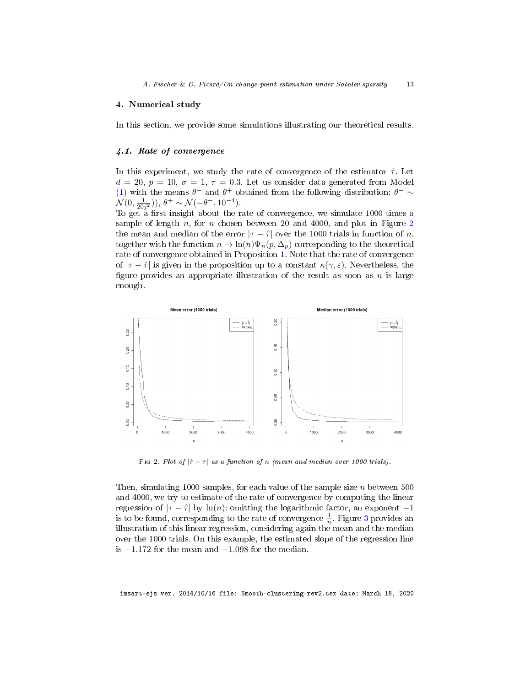## <span id="page-13-0"></span>4. Numerical study

In this section, we provide some simulations illustrating our theoretical results.

## 4.1. Rate of convergence

In this experiment, we study the rate of convergence of the estimator  $\hat{\tau}$ . Let  $d = 20, p = 10, \sigma = 1, \tau = 0.3$ . Let us consider data generated from Model [\(1\)](#page-3-1) with the means  $\theta^-$  and  $\theta^+$  obtained from the following distribution:  $\theta^- \sim$  $\mathcal{N}(0, \frac{1}{20j^2})$ ,  $\theta^+ \sim \mathcal{N}(-\theta^-, 10^{-4})$ .

To get a first insight about the rate of convergence, we simulate 1000 times a sample of length  $n$ , for  $n$  chosen between [2](#page-13-1)0 and 4000, and plot in Figure 2 the mean and median of the error  $|\tau - \hat{\tau}|$  over the 1000 trials in function of n, together with the function  $n \mapsto \ln(n)\Psi_n(p, \Delta_n)$  corresponding to the theoretical rate of convergence obtained in Proposition [1.](#page-7-1) Note that the rate of convergence of  $|\tau - \hat{\tau}|$  is given in the proposition up to a constant  $\kappa(\gamma, \varepsilon)$ . Nevertheless, the figure provides an appropriate illustration of the result as soon as  $n$  is large enough.



<span id="page-13-1"></span>Fig 2. Plot of  $|\hat{\tau} - \tau|$  as a function of n (mean and median over 1000 trials).

Then, simulating 1000 samples, for each value of the sample size  $n$  between 500 and 4000, we try to estimate of the rate of convergence by computing the linear regression of  $|\tau - \hat{\tau}|$  by ln(n): omitting the logarithmic factor, an exponent  $-1$ is to be found, corresponding to the rate of convergence  $\frac{1}{n}$ . Figure [3](#page-14-0) provides an illustration of this linear regression, considering again the mean and the median over the 1000 trials. On this example, the estimated slope of the regression line is −1.172 for the mean and −1.098 for the median.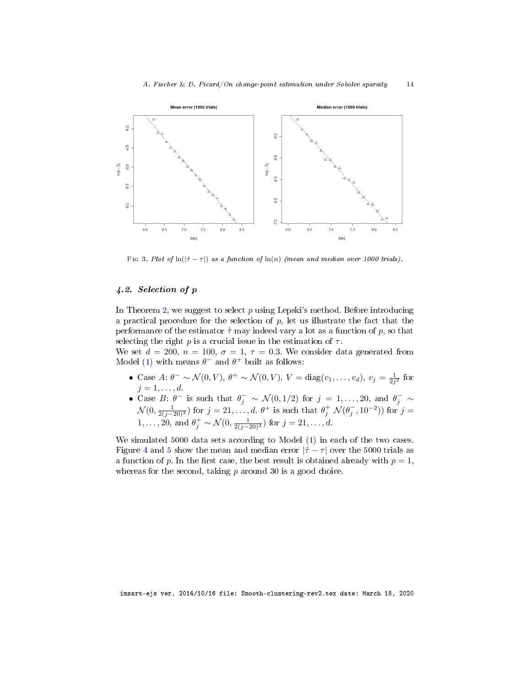

<span id="page-14-0"></span>Fig 3. Plot of  $\ln(|\hat{\tau} - \tau|)$  as a function of  $\ln(n)$  (mean and median over 1000 trials).

# 4.2. Selection of p

In Theorem [2,](#page-12-0) we suggest to select  $p$  using Lepski's method. Before introducing a practical procedure for the selection of  $p$ , let us illustrate the fact that the performance of the estimator  $\hat{\tau}$  may indeed vary a lot as a function of p, so that selecting the right p is a crucial issue in the estimation of  $\tau$ .

We set  $d = 200$ ,  $n = 100$ ,  $\sigma = 1$ ,  $\tau = 0.3$ . We consider data generated from Model [\(1\)](#page-3-1) with means  $\theta^-$  and  $\theta^+$  built as follows:

- Case A:  $\theta^{-} \sim \mathcal{N}(0, V), \ \theta^{+} \sim \mathcal{N}(0, V), \ V = \text{diag}(v_1, \dots, v_d), \ v_j = \frac{1}{2^{j^2}}$  for Case 11.  $0 \to y_0(0, v_1, 0 \to z_0(0, v_1, v_1 - \text{diag}(v_1, \ldots, v_d), v_j - 2j_1, \ldots, d)$
- Case B:  $\theta^-$  is such that  $\theta_j^- \sim \mathcal{N}(0, 1/2)$  for  $j = 1, ..., 20$ , and  $\theta_j^- \sim$  $\mathcal{N}(0, \frac{1}{2(j-20)^2})$  for  $j=21,\ldots,d$ .  $\theta^+$  is such that  $\theta_j^+\mathcal{N}(\theta_j^-, 10^{-2})$  for  $j=$ 1,..., 20, and  $\theta_j^+ \sim \mathcal{N}(0, \frac{1}{2(j-20)^2})$  for  $j = 21, \ldots, d$ .

We simulated 5000 data sets according to Model [\(1\)](#page-3-1) in each of the two cases. Figure [4](#page-15-0) and [5](#page-15-1) show the mean and median error  $|\hat{\tau} - \tau|$  over the 5000 trials as a function of p. In the first case, the best result is obtained already with  $p = 1$ , whereas for the second, taking  $p$  around 30 is a good choice.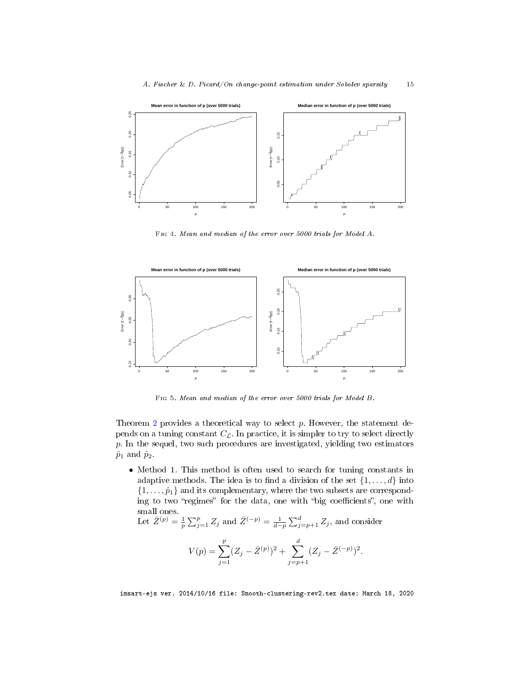

<span id="page-15-0"></span>Fig 4. Mean and median of the error over 5000 trials for Model A.



Fig 5. Mean and median of the error over 5000 trials for Model B.

<span id="page-15-1"></span>Theorem  $2$  provides a theoretical way to select  $p$ . However, the statement depends on a tuning constant  $C_{\mathcal{L}}$ . In practice, it is simpler to try to select directly p. In the sequel, two such procedures are investigated, yielding two estimators  $\hat{p}_1$  and  $\hat{p}_2$ .

• Method 1. This method is often used to search for tuning constants in adaptive methods. The idea is to find a division of the set  $\{1, \ldots, d\}$  into  $\{1,\ldots,\hat{p}_1\}$  and its complementary, where the two subsets are corresponding to two "regimes" for the data, one with "big coefficients", one with small ones.

Let  $\bar{Z}^{(p)} = \frac{1}{p} \sum_{j=1}^p Z_j$  and  $\bar{Z}^{(-p)} = \frac{1}{d-p} \sum_{j=p+1}^d Z_j$ , and consider

$$
V(p) = \sum_{j=1}^{p} (Z_j - \bar{Z}^{(p)})^2 + \sum_{j=p+1}^{d} (Z_j - \bar{Z}^{(-p)})^2.
$$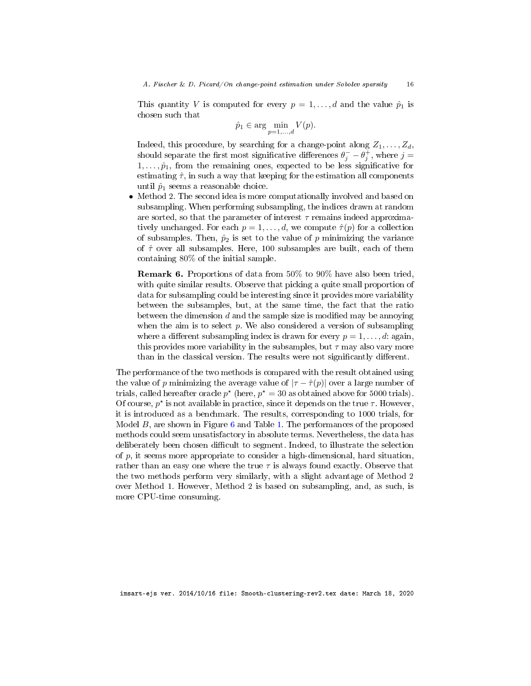This quantity V is computed for every  $p = 1, \ldots, d$  and the value  $\hat{p}_1$  is chosen such that

$$
\hat{p}_1 \in \arg\min_{p=1,\dots,d} V(p).
$$

Indeed, this procedure, by searching for a change-point along  $Z_1, \ldots, Z_d$ , should separate the first most significative differences  $\theta_j^- - \theta_j^+$ , where  $j =$  $1, \ldots, \hat{p}_1$ , from the remaining ones, expected to be less significative for estimating  $\hat{\tau}$ , in such a way that keeping for the estimation all components until  $\hat{p}_1$  seems a reasonable choice.

• Method 2. The second idea is more computationally involved and based on subsampling. When performing subsampling, the indices drawn at random are sorted, so that the parameter of interest  $\tau$  remains indeed approximatively unchanged. For each  $p = 1, \ldots, d$ , we compute  $\hat{\tau}(p)$  for a collection of subsamples. Then,  $\hat{p}_2$  is set to the value of p minimizing the variance of  $\hat{\tau}$  over all subsamples. Here, 100 subsamples are built, each of them containing 80% of the initial sample.

Remark 6. Proportions of data from 50% to 90% have also been tried, with quite similar results. Observe that picking a quite small proportion of data for subsampling could be interesting since it provides more variability between the subsamples, but, at the same time, the fact that the ratio between the dimension  $d$  and the sample size is modified may be annoying when the aim is to select  $p$ . We also considered a version of subsampling where a different subsampling index is drawn for every  $p = 1, \ldots, d$ : again, this provides more variability in the subsamples, but  $\tau$  may also vary more than in the classical version. The results were not significantly different.

The performance of the two methods is compared with the result obtained using the value of p minimizing the average value of  $|\tau - \hat{\tau}(p)|$  over a large number of trials, called hereafter oracle  $p^*$  (here,  $p^* = 30$  as obtained above for 5000 trials). Of course,  $p^*$  is not available in practice, since it depends on the true  $\tau$ . However, it is introduced as a benchmark. The results, corresponding to 1000 trials, for Model  $B$ , are shown in Figure  $6$  and Table [1.](#page-17-2) The performances of the proposed methods could seem unsatisfactory in absolute terms. Nevertheless, the data has deliberately been chosen difficult to segment. Indeed, to illustrate the selection of p, it seems more appropriate to consider a high-dimensional, hard situation, rather than an easy one where the true  $\tau$  is always found exactly. Observe that the two methods perform very similarly, with a slight advantage of Method 2 over Method 1. However, Method 2 is based on subsampling, and, as such, is more CPU-time consuming.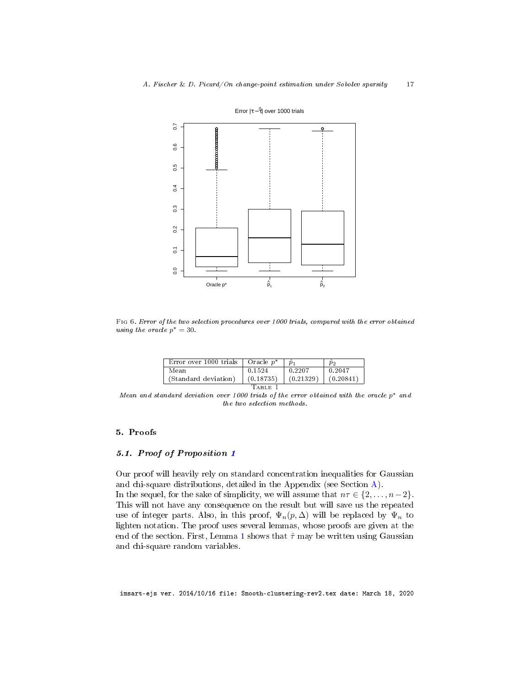

Error |τ − τ ^| over 1000 trials

Fig 6. Error of the two selection procedures over 1000 trials, compared with the error obtained using the oracle  $p^* = 30$ .

| Error over 1000 trials | Oracle $p^*$ |           | $p_2$     |
|------------------------|--------------|-----------|-----------|
| Mean                   | 0 15 24      | 0.2207    | 0.2047    |
| (Standard deviation)   | (0.18735)    | (0.21329) | (0.20841) |

<span id="page-17-2"></span><span id="page-17-1"></span>Table 1

Mean and standard deviation over 1000 trials of the error obtained with the oracle  $p^*$  and the two selection methods.

## <span id="page-17-0"></span>5. Proofs

## 5.1. Proof of Proposition [1](#page-9-0)

Our proof will heavily rely on standard concentration inequalities for Gaussian and chi-square distributions, detailed in the Appendix (see Section [A\)](#page-38-0).

In the sequel, for the sake of simplicity, we will assume that  $n\tau \in \{2, \ldots, n-2\}$ . This will not have any consequence on the result but will save us the repeated use of integer parts. Also, in this proof,  $\Psi_n(p,\Delta)$  will be replaced by  $\Psi_n$  to lighten notation. The proof uses several lemmas, whose proofs are given at the end of the section. First, Lemma [1](#page-18-0) shows that  $\hat{\tau}$  may be written using Gaussian and chi-square random variables.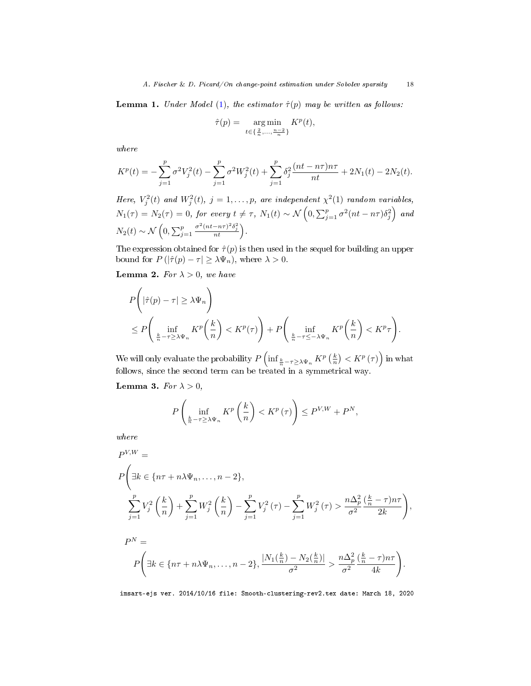<span id="page-18-0"></span>**Lemma 1.** Under Model [\(1\)](#page-3-1), the estimator  $\hat{\tau}(p)$  may be written as follows:

$$
\hat{\tau}(p) = \arg\min_{t \in \{\frac{2}{n}, \dots, \frac{n-2}{n}\}} K^p(t),
$$

where

$$
K^{p}(t) = -\sum_{j=1}^{p} \sigma^{2} V_{j}^{2}(t) - \sum_{j=1}^{p} \sigma^{2} W_{j}^{2}(t) + \sum_{j=1}^{p} \delta_{j}^{2} \frac{(nt - n\tau)n\tau}{nt} + 2N_{1}(t) - 2N_{2}(t).
$$

Here,  $V_j^2(t)$  and  $W_j^2(t)$ ,  $j = 1, ..., p$ , are independent  $\chi^2(1)$  random variables,  $N_1(\tau)=N_2(\tau)=0,$  for every  $t\neq \tau, N_1(t)\sim \mathcal{N}\left(0,\sum_{j=1}^p\sigma^2(nt-n\tau)\delta_j^2\right)$  and  $N_2(t) \sim \mathcal{N}\left(0, \sum_{j=1}^p\right)$  $\frac{\sigma^2(nt-n\tau)^2\delta_j^2}{nt}$ .

The expression obtained for  $\hat{\tau}(p)$  is then used in the sequel for building an upper bound for  $P(|\hat{\tau}(p) - \tau| \geq \lambda \Psi_n)$ , where  $\lambda > 0$ .

<span id="page-18-1"></span>**Lemma 2.** For  $\lambda > 0$ , we have

$$
P\left(|\hat{\tau}(p) - \tau| \ge \lambda \Psi_n\right)
$$
  
\n
$$
\le P\left(\inf_{\frac{k}{n} - \tau \ge \lambda \Psi_n} K^p\left(\frac{k}{n}\right) < K^p(\tau)\right) + P\left(\inf_{\frac{k}{n} - \tau \le -\lambda \Psi_n} K^p\left(\frac{k}{n}\right) < K^p\tau\right).
$$

We will only evaluate the probability  $P\left(\inf_{\frac{k}{n}-\tau\geq\lambda\Psi_n}K^p\left(\frac{k}{n}\right)< K^p\left(\tau\right)\right)$  in what follows, since the second term can be treated in a symmetrical way.

<span id="page-18-2"></span>Lemma 3. For  $\lambda > 0$ ,

$$
P\left(\inf_{\frac{k}{n}-\tau\geq\lambda\Psi_{n}}K^{p}\left(\frac{k}{n}\right)
$$

where

$$
P^{V,W} =
$$
\n
$$
P\left(\exists k \in \{n\tau + n\lambda\Psi_n, \dots, n-2\},\right.
$$
\n
$$
\sum_{j=1}^p V_j^2 \left(\frac{k}{n}\right) + \sum_{j=1}^p W_j^2 \left(\frac{k}{n}\right) - \sum_{j=1}^p V_j^2 (\tau) - \sum_{j=1}^p W_j^2 (\tau) > \frac{n\Delta_p^2 \left(\frac{k}{n} - \tau\right) n\tau}{\sigma^2} \frac{2k}{2k},
$$
\n
$$
P^N =
$$
\n
$$
P\left(\exists k \in \{n\tau + n\lambda\Psi_n, \dots, n-2\}, \frac{|N_1(\frac{k}{n}) - N_2(\frac{k}{n})|}{\sigma^2} > \frac{n\Delta_p^2 \left(\frac{k}{n} - \tau\right) n\tau}{\sigma^2}.
$$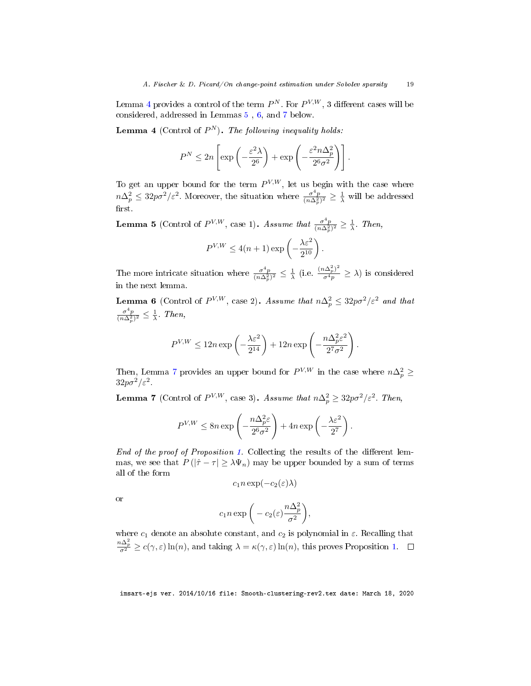Lemma [4](#page-19-0) provides a control of the term  $P^N$ . For  $P^{V,W}$ , 3 different cases will be considered, addressed in Lemmas [5](#page-19-1) , [6,](#page-19-2) and [7](#page-19-3) below.

<span id="page-19-0"></span>**Lemma 4** (Control of  $P^N$ ). The following inequality holds:

$$
P^{N} \leq 2n \left[ \exp\left( -\frac{\varepsilon^{2} \lambda}{2^{6}} \right) + \exp\left( -\frac{\varepsilon^{2} n \Delta_{p}^{2}}{2^{6} \sigma^{2}} \right) \right].
$$

To get an upper bound for the term  $P^{V,W}$ , let us begin with the case where  $n\Delta_p^2 \leq 32p\sigma^2/\varepsilon^2$ . Moreover, the situation where  $\frac{\sigma^4 p}{(n\Delta_p^2)^2} \geq \frac{1}{\lambda}$  will be addressed  $first.$ 

<span id="page-19-1"></span>**Lemma 5** (Control of  $P^{V,W}$ , case 1). Assume that  $\frac{\sigma^4 p}{(n \Delta_p^2)^2} \geq \frac{1}{\lambda}$ . Then,

$$
P^{V,W} \le 4(n+1) \exp\left(-\frac{\lambda \varepsilon^2}{2^{10}}\right).
$$

The more intricate situation where  $\frac{\sigma^4 p}{(n\Delta_p^2)^2} \leq \frac{1}{\lambda}$  (i.e.  $\frac{(n\Delta_p^2)^2}{\sigma^4 p} \geq \lambda$ ) is considered in the next lemma.

<span id="page-19-2"></span>**Lemma 6** (Control of  $P^{V,W}$ , case 2). Assume that  $n\Delta_p^2 \leq 32p\sigma^2/\varepsilon^2$  and that  $\frac{\sigma^4 p}{(n \Delta_p^2)^2} \leq \frac{1}{\lambda}$ . Then,

$$
P^{V,W} \le 12 n \exp\left(-\frac{\lambda \varepsilon^2}{2^{14}}\right) + 12 n \exp\left(-\frac{n \Delta_p^2 \varepsilon^2}{2^7 \sigma^2}\right).
$$

Then, Lemma [7](#page-19-3) provides an upper bound for  $P^{V,W}$  in the case where  $n\Delta_p^2 \geq$  $32p\sigma^2/\varepsilon^2$ .

<span id="page-19-3"></span>**Lemma 7** (Control of  $P^{V,W}$ , case 3). Assume that  $n\Delta_p^2 \geq 32p\sigma^2/\varepsilon^2$ . Then,

$$
P^{V,W} \le 8n \exp\left(-\frac{n\Delta_p^2 \varepsilon}{2^6 \sigma^2}\right) + 4n \exp\left(-\frac{\lambda \varepsilon^2}{2^7}\right).
$$

End of the proof of Proposition [1.](#page-7-1) Collecting the results of the different lemmas, we see that  $P(|\hat{\tau} - \tau| \geq \lambda \Psi_n)$  may be upper bounded by a sum of terms all of the form

 $c_1 n \exp(-c_2(\varepsilon)\lambda)$ 

or

$$
c_1 n \exp\bigg(-c_2(\varepsilon) \frac{n \Delta_p^2}{\sigma^2}\bigg),\,
$$

where  $c_1$  denote an absolute constant, and  $c_2$  is polynomial in  $\varepsilon$ . Recalling that  $\frac{n\Delta_p^2}{\sigma^2} \geq c(\gamma,\varepsilon) \ln(n)$ , and taking  $\lambda = \kappa(\gamma,\varepsilon) \ln(n)$ , this proves Proposition [1.](#page-7-1)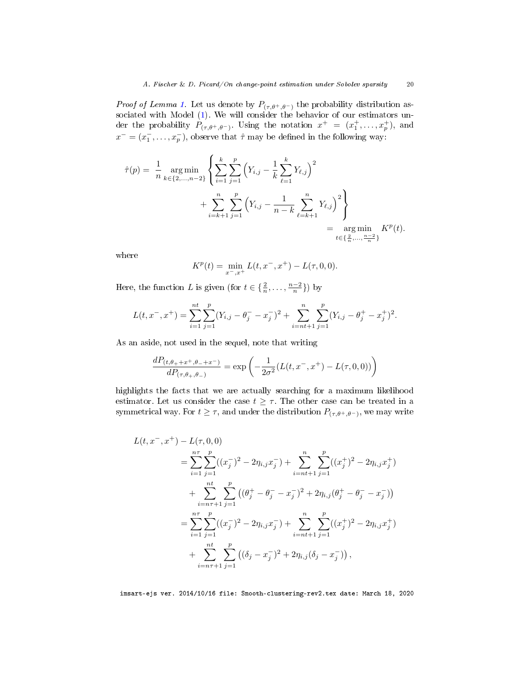*Proof of Lemma [1.](#page-18-0)* Let us denote by  $P_{(\tau,\theta^+,\theta^-)}$  the probability distribution associated with Model [\(1\)](#page-3-1). We will consider the behavior of our estimators under the probability  $P_{(\tau,\theta^+,\theta^-)}$ . Using the notation  $x^+ = (x_1^+, \ldots, x_p^+)$ , and  $x^- = (x_1^-, \ldots, x_p^-)$ , observe that  $\hat{\tau}$  may be defined in the following way:

$$
\hat{\tau}(p) = \frac{1}{n} \underset{k \in \{2,\dots,n-2\}}{\arg \min} \left\{ \sum_{i=1}^{k} \sum_{j=1}^{p} \left( Y_{i,j} - \frac{1}{k} \sum_{\ell=1}^{k} Y_{\ell,j} \right)^2 + \sum_{i=k+1}^{n} \sum_{j=1}^{p} \left( Y_{i,j} - \frac{1}{n-k} \sum_{\ell=k+1}^{n} Y_{\ell,j} \right)^2 \right\} = \underset{t \in \{\frac{2}{n},\dots,\frac{n-2}{n}\}}{\arg \min} K^p(t).
$$

where

$$
K^{p}(t) = \min_{x^{-},x^{+}} L(t,x^{-},x^{+}) - L(\tau,0,0).
$$

Here, the function L is given (for  $t \in \{\frac{2}{n}, \ldots, \frac{n-2}{n}\}\)$  by

$$
L(t, x^-, x^+) = \sum_{i=1}^{nt} \sum_{j=1}^p (Y_{i,j} - \theta_j^- - x_j^-)^2 + \sum_{i=nt+1}^n \sum_{j=1}^p (Y_{i,j} - \theta_j^+ - x_j^+)^2.
$$

As an aside, not used in the sequel, note that writing

$$
\frac{dP_{(t,\theta_{+}+x^{+},\theta_{-}+x^{-})}}{dP_{(\tau,\theta_{+},\theta_{-})}} = \exp\left(-\frac{1}{2\sigma^{2}}(L(t,x^{-},x^{+}) - L(\tau,0,0))\right)
$$

highlights the facts that we are actually searching for a maximum likelihood estimator. Let us consider the case  $t \geq \tau$ . The other case can be treated in a symmetrical way. For  $t \geq \tau$ , and under the distribution  $P_{(\tau,\theta^+,\theta^-)}$ , we may write

$$
L(t, x^-, x^+) - L(\tau, 0, 0)
$$
  
= 
$$
\sum_{i=1}^{n\tau} \sum_{j=1}^p ((x_j^-)^2 - 2\eta_{i,j} x_j^-) + \sum_{i=nt+1}^n \sum_{j=1}^p ((x_j^+)^2 - 2\eta_{i,j} x_j^+)
$$
  
+ 
$$
\sum_{i=n\tau+1}^{nt} \sum_{j=1}^p ((\theta_j^+ - \theta_j^- - x_j^-)^2 + 2\eta_{i,j} (\theta_j^+ - \theta_j^- - x_j^-))
$$
  
= 
$$
\sum_{i=1}^{n\tau} \sum_{j=1}^p ((x_j^-)^2 - 2\eta_{i,j} x_j^-) + \sum_{i=nt+1}^n \sum_{j=1}^p ((x_j^+)^2 - 2\eta_{i,j} x_j^+)
$$
  
+ 
$$
\sum_{i=n\tau+1}^{nt} \sum_{j=1}^p ((\delta_j - x_j^-)^2 + 2\eta_{i,j} (\delta_j - x_j^-)),
$$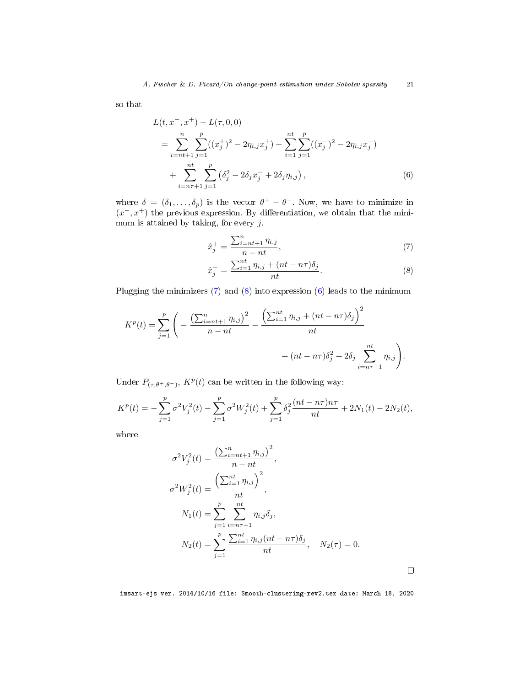so that

$$
L(t, x^-, x^+) - L(\tau, 0, 0)
$$
  
= 
$$
\sum_{i=n+1}^{n} \sum_{j=1}^{p} ((x_j^+)^2 - 2\eta_{i,j} x_j^+) + \sum_{i=1}^{nt} \sum_{j=1}^{p} ((x_j^-)^2 - 2\eta_{i,j} x_j^-)
$$
  
+ 
$$
\sum_{i=n+1}^{nt} \sum_{j=1}^{p} (\delta_j^2 - 2\delta_j x_j^- + 2\delta_j \eta_{i,j}),
$$
 (6)

where  $\delta = (\delta_1, \ldots, \delta_p)$  is the vector  $\theta^+ - \theta^-$ . Now, we have to minimize in  $(x^-, x^+)$  the previous expression. By differentiation, we obtain that the minimum is attained by taking, for every  $j$ ,

<span id="page-21-2"></span><span id="page-21-0"></span>
$$
\hat{x}_j^+ = \frac{\sum_{i=nt+1}^n \eta_{i,j}}{n - nt},\tag{7}
$$

<span id="page-21-1"></span>
$$
\hat{x}_j^- = \frac{\sum_{i=1}^{nt} \eta_{i,j} + (nt - n\tau)\delta_j}{nt}.\tag{8}
$$

Plugging the minimizers  $(7)$  and  $(8)$  into expression  $(6)$  leads to the minimum

$$
K^{p}(t) = \sum_{j=1}^{p} \left( -\frac{\left(\sum_{i=nt+1}^{n} \eta_{i,j}\right)^{2}}{n-nt} - \frac{\left(\sum_{i=1}^{nt} \eta_{i,j} + (nt - n\tau)\delta_{j}\right)^{2}}{nt} + (nt - n\tau)\delta_{j}^{2} + 2\delta_{j} \sum_{i=n+1}^{nt} \eta_{i,j} \right).
$$

Under  $P_{(\tau,\theta^+,\theta^-)}$ ,  $K^p(t)$  can be written in the following way:

$$
K^{p}(t) = -\sum_{j=1}^{p} \sigma^{2} V_{j}^{2}(t) - \sum_{j=1}^{p} \sigma^{2} W_{j}^{2}(t) + \sum_{j=1}^{p} \delta_{j}^{2} \frac{(nt - n\tau)n\tau}{nt} + 2N_{1}(t) - 2N_{2}(t),
$$

where

$$
\sigma^2 V_j^2(t) = \frac{\left(\sum_{i=nt+1}^n \eta_{i,j}\right)^2}{n - nt},
$$
  
\n
$$
\sigma^2 W_j^2(t) = \frac{\left(\sum_{i=1}^n \eta_{i,j}\right)^2}{nt},
$$
  
\n
$$
N_1(t) = \sum_{j=1}^p \sum_{i=n+1}^{nt} \eta_{i,j} \delta_j,
$$
  
\n
$$
N_2(t) = \sum_{j=1}^p \frac{\sum_{i=1}^{nt} \eta_{i,j} (nt - n\tau) \delta_j}{nt}, \quad N_2(\tau) = 0.
$$

imsart-ejs ver. 2014/10/16 file: Smooth-clustering-rev2.tex date: March 18, 2020

 $\Box$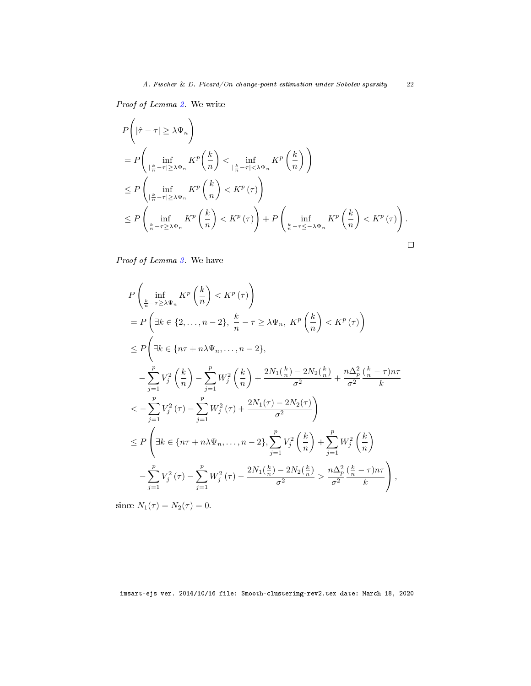Proof of Lemma [2.](#page-18-1) We write

$$
P\left(|\hat{\tau} - \tau| \ge \lambda \Psi_n\right)
$$
  
=  $P\left(\inf_{\left|\frac{k}{n} - \tau\right| \ge \lambda \Psi_n} K^p\left(\frac{k}{n}\right) < \inf_{\left|\frac{k}{n} - \tau\right| < \lambda \Psi_n} K^p\left(\frac{k}{n}\right)\right)$   
 $\le P\left(\inf_{\left|\frac{k}{n} - \tau\right| \ge \lambda \Psi_n} K^p\left(\frac{k}{n}\right) < K^p(\tau)\right)$   
 $\le P\left(\inf_{\frac{k}{n} - \tau\ge \lambda \Psi_n} K^p\left(\frac{k}{n}\right) < K^p(\tau)\right) + P\left(\inf_{\frac{k}{n} - \tau\le -\lambda \Psi_n} K^p\left(\frac{k}{n}\right) < K^p(\tau)\right).$ 

Proof of Lemma [3.](#page-18-2) We have

$$
P\left(\inf_{\frac{k}{n}-\tau\ge\lambda\Psi_{n}}K^{p}\left(\frac{k}{n}\right)  
\n
$$
=P\left(\exists k\in\{2,\ldots,n-2\},\frac{k}{n}-\tau\ge\lambda\Psi_{n},\ K^{p}\left(\frac{k}{n}\right)  
\n
$$
\le P\left(\exists k\in\{n\tau+n\lambda\Psi_{n},\ldots,n-2\},\right.
$$
  
\n
$$
-\sum_{j=1}^{p}V_{j}^{2}\left(\frac{k}{n}\right)-\sum_{j=1}^{p}W_{j}^{2}\left(\frac{k}{n}\right)+\frac{2N_{1}(\frac{k}{n})-2N_{2}(\frac{k}{n})}{\sigma^{2}}+\frac{n\Delta_{p}^{2}}{\sigma^{2}}\frac{(\frac{k}{n}-\tau)n\tau}{k}
$$
  
\n
$$
<-\sum_{j=1}^{p}V_{j}^{2}(\tau)-\sum_{j=1}^{p}W_{j}^{2}(\tau)+\frac{2N_{1}(\tau)-2N_{2}(\tau)}{\sigma^{2}}\right)
$$
  
\n
$$
\le P\left(\exists k\in\{n\tau+n\lambda\Psi_{n},\ldots,n-2\},\sum_{j=1}^{p}V_{j}^{2}\left(\frac{k}{n}\right)+\sum_{j=1}^{p}W_{j}^{2}\left(\frac{k}{n}\right)
$$
  
\n
$$
-\sum_{j=1}^{p}V_{j}^{2}(\tau)-\sum_{j=1}^{p}W_{j}^{2}(\tau)-\frac{2N_{1}(\frac{k}{n})-2N_{2}(\frac{k}{n})}{\sigma^{2}}>\frac{n\Delta_{p}^{2}(\frac{k}{n}-\tau)n\tau}{\sigma^{2}}\right),
$$
$$
$$

since  $N_1(\tau) = N_2(\tau) = 0$ .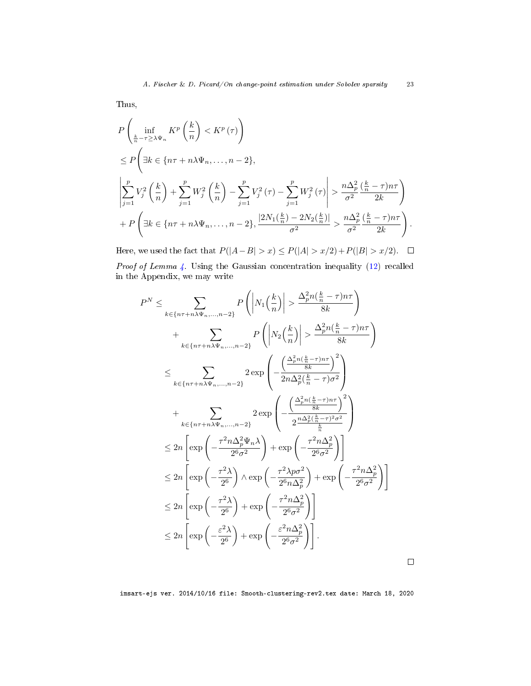Thus,

$$
P\left(\inf_{\frac{k}{n}-\tau\geq\lambda\Psi_{n}}K^{p}\left(\frac{k}{n}\right)  
\n
$$
\leq P\left(\exists k\in\{n\tau+n\lambda\Psi_{n},\ldots,n-2\},\right)
$$
  
\n
$$
\left|\sum_{j=1}^{p}V_{j}^{2}\left(\frac{k}{n}\right)+\sum_{j=1}^{p}W_{j}^{2}\left(\frac{k}{n}\right)-\sum_{j=1}^{p}V_{j}^{2}(\tau)-\sum_{j=1}^{p}W_{j}^{2}(\tau)\right|>\frac{n\Delta_{p}^{2}\left(\frac{k}{n}-\tau\right)n\tau}{\sigma^{2}}\right)
$$
  
\n
$$
+P\left(\exists k\in\{n\tau+n\lambda\Psi_{n},\ldots,n-2\},\frac{|2N_{1}(\frac{k}{n})-2N_{2}(\frac{k}{n})|}{\sigma^{2}}>\frac{n\Delta_{p}^{2}\left(\frac{k}{n}-\tau\right)n\tau}{\sigma^{2}}\right).
$$
$$

Here, we used the fact that  $P(|A-B| > x) \le P(|A| > x/2) + P(|B| > x/2)$ .  $\Box$ Proof of Lemma [4.](#page-19-0) Using the Gaussian concentration inequality [\(12\)](#page-38-1) recalled in the Appendix, we may write

$$
P^{N} \leq \sum_{k \in \{n\tau + n\lambda\Psi_{n},...,n-2\}} P\left( \left| N_{1}\left(\frac{k}{n}\right) \right| > \frac{\Delta_{p}^{2}n\left(\frac{k}{n} - \tau\right)n\tau}{8k} \right) + \sum_{k \in \{n\tau + n\lambda\Psi_{n},...,n-2\}} P\left( \left| N_{2}\left(\frac{k}{n}\right) \right| > \frac{\Delta_{p}^{2}n\left(\frac{k}{n} - \tau\right)n\tau}{8k} \right) \leq \sum_{k \in \{n\tau + n\lambda\Psi_{n},...,n-2\}} 2 \exp\left( -\frac{\left(\frac{\Delta_{p}^{2}n\left(\frac{k}{n} - \tau\right)n\tau}{8k}\right)^{2}}{2n\Delta_{p}^{2}\left(\frac{k}{n} - \tau\right)\sigma^{2}} \right) + \sum_{k \in \{n\tau + n\lambda\Psi_{n},...,n-2\}} 2 \exp\left( -\frac{\left(\frac{\Delta_{p}^{2}n\left(\frac{k}{n} - \tau\right)n\tau}{8k}\right)^{2}}{2\frac{n\Delta_{p}^{2}\left(\frac{k}{n} - \tau\right)\sigma^{2}}{k}} \right) \leq 2n \left[ \exp\left( -\frac{\tau^{2}n\Delta_{p}^{2}\Psi_{n}\lambda}{2^{6}\sigma^{2}} \right) + \exp\left( -\frac{\tau^{2}n\Delta_{p}^{2}}{2^{6}\sigma^{2}} \right) \right] \leq 2n \left[ \exp\left( -\frac{\tau^{2}\lambda}{2^{6}} \right) \wedge \exp\left( -\frac{\tau^{2}\lambda p\sigma^{2}}{2^{6}n\Delta_{p}^{2}} \right) + \exp\left( -\frac{\tau^{2}n\Delta_{p}^{2}}{2^{6}\sigma^{2}} \right) \right] \leq 2n \left[ \exp\left( -\frac{\tau^{2}\lambda}{2^{6}} \right) + \exp\left( -\frac{\tau^{2}n\Delta_{p}^{2}}{2^{6}\sigma^{2}} \right) \right] \leq 2n \left[ \exp\left( -\frac{\varepsilon^{2}\lambda}{2^{6}} \right) + \exp\left( -\frac{\varepsilon^{2}n\Delta_{p}^{2}}{2^{6}\sigma^{2}} \right) \right].
$$

imsart-ejs ver. 2014/10/16 file: Smooth-clustering-rev2.tex date: March 18, 2020

 $\Box$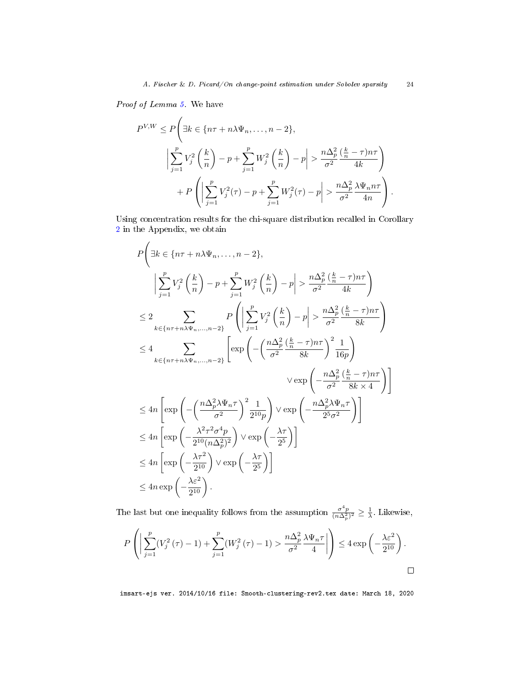Proof of Lemma [5.](#page-19-1) We have

$$
P^{V,W} \le P\left(\exists k \in \{n\tau + n\lambda\Psi_n, \dots, n-2\},\right)
$$
  

$$
\left|\sum_{j=1}^p V_j^2 \left(\frac{k}{n}\right) - p + \sum_{j=1}^p W_j^2 \left(\frac{k}{n}\right) - p\right| > \frac{n\Delta_p^2}{\sigma^2} \frac{\left(\frac{k}{n} - \tau\right)n\tau}{4k}
$$
  

$$
+ P\left(\left|\sum_{j=1}^p V_j^2(\tau) - p + \sum_{j=1}^p W_j^2(\tau) - p\right| > \frac{n\Delta_p^2}{\sigma^2} \frac{\lambda\Psi_n n\tau}{4n}\right).
$$

Using concentration results for the chi-square distribution recalled in Corollary [2](#page-39-4) in the Appendix, we obtain

$$
P\left(\exists k \in \{n\tau + n\lambda\Psi_n, \dots, n-2\},\right)
$$
\n
$$
\left| \sum_{j=1}^p V_j^2 \left(\frac{k}{n}\right) - p + \sum_{j=1}^p W_j^2 \left(\frac{k}{n}\right) - p \right| > \frac{n\Delta_p^2 \left(\frac{k}{n} - \tau\right) n\tau}{\sigma^2} \right)
$$
\n
$$
\leq 2 \sum_{k \in \{n\tau + n\lambda\Psi_n, \dots, n-2\}} P\left(\left| \sum_{j=1}^p V_j^2 \left(\frac{k}{n}\right) - p \right| > \frac{n\Delta_p^2 \left(\frac{k}{n} - \tau\right) n\tau}{\sigma^2} \right)
$$
\n
$$
\leq 4 \sum_{k \in \{n\tau + n\lambda\Psi_n, \dots, n-2\}} \left[ \exp\left(-\left(\frac{n\Delta_p^2 \left(\frac{k}{n} - \tau\right) n\tau}{\sigma^2} \frac{1}{8k}\right)^2 \frac{1}{16p}\right) \right]
$$
\n
$$
\sqrt{\exp\left(-\frac{n\Delta_p^2 \left(\frac{k}{n} - \tau\right) n\tau}{\sigma^2} \frac{1}{8k \times 4}\right)} \right]
$$
\n
$$
\leq 4n \left[ \exp\left(-\left(\frac{n\Delta_p^2 \lambda \Psi_n \tau}{\sigma^2}\right)^2 \frac{1}{2^{10}p}\right) \sqrt{\exp\left(-\frac{n\Delta_p^2 \lambda \Psi_n \tau}{2^5 \sigma^2}\right)} \right]
$$
\n
$$
\leq 4n \left[ \exp\left(-\frac{\lambda^2 \tau^2 \sigma^4 p}{2^{10} (n \Delta_p^2)^2}\right) \sqrt{\exp\left(-\frac{\lambda \tau}{2^5}\right)} \right]
$$
\n
$$
\leq 4n \left[ \exp\left(-\frac{\lambda \tau^2}{2^{10}}\right) \sqrt{\exp\left(-\frac{\lambda \tau}{2^5}\right)} \right]
$$
\n
$$
\leq 4n \exp\left(-\frac{\lambda \epsilon^2}{2^{10}}\right).
$$

The last but one inequality follows from the assumption  $\frac{\sigma^4 p}{(n\Delta_p^2)^2} \geq \frac{1}{\lambda}$ . Likewise,

$$
P\left(\left|\sum_{j=1}^p (V_j^2(\tau)-1)+\sum_{j=1}^p (W_j^2(\tau)-1)\right|>\frac{n\Delta_p^2}{\sigma^2}\frac{\lambda\Psi_n\tau}{4}\right|\right)\leq 4\exp\left(-\frac{\lambda\varepsilon^2}{2^{10}}\right).
$$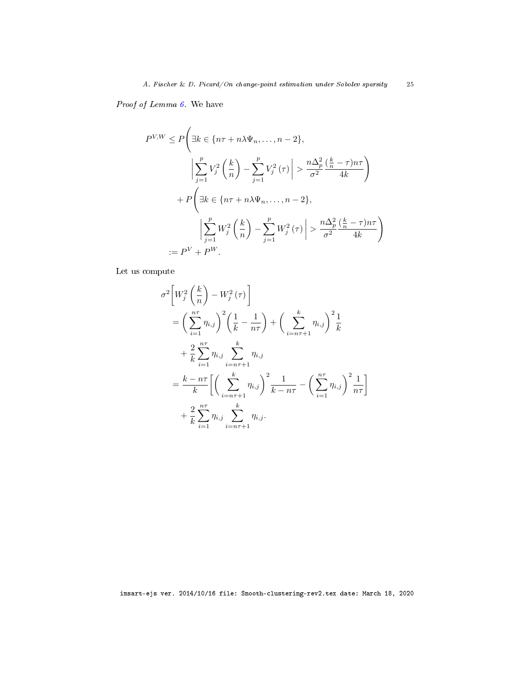Proof of Lemma [6.](#page-19-2) We have

$$
P^{V,W} \le P\left(\exists k \in \{n\tau + n\lambda\Psi_n, \dots, n-2\},\right)
$$

$$
\left|\sum_{j=1}^p V_j^2 \left(\frac{k}{n}\right) - \sum_{j=1}^p V_j^2(\tau)\right| > \frac{n\Delta_p^2}{\sigma^2} \frac{\left(\frac{k}{n} - \tau\right)n\tau}{4k}
$$

$$
+ P\left(\exists k \in \{n\tau + n\lambda\Psi_n, \dots, n-2\},\right)
$$

$$
\left|\sum_{j=1}^p W_j^2 \left(\frac{k}{n}\right) - \sum_{j=1}^p W_j^2(\tau)\right| > \frac{n\Delta_p^2}{\sigma^2} \frac{\left(\frac{k}{n} - \tau\right)n\tau}{4k}
$$

$$
:= P^V + P^W.
$$

Let us compute

$$
\sigma^{2}\left[W_{j}^{2}\left(\frac{k}{n}\right)-W_{j}^{2}(\tau)\right]
$$
\n
$$
=\left(\sum_{i=1}^{n\tau}\eta_{i,j}\right)^{2}\left(\frac{1}{k}-\frac{1}{n\tau}\right)+\left(\sum_{i=n\tau+1}^{k}\eta_{i,j}\right)^{2}\frac{1}{k}
$$
\n
$$
+\frac{2}{k}\sum_{i=1}^{n\tau}\eta_{i,j}\sum_{i=n\tau+1}^{k}\eta_{i,j}
$$
\n
$$
=\frac{k-n\tau}{k}\left[\left(\sum_{i=n\tau+1}^{k}\eta_{i,j}\right)^{2}\frac{1}{k-n\tau}-\left(\sum_{i=1}^{n\tau}\eta_{i,j}\right)^{2}\frac{1}{n\tau}\right]
$$
\n
$$
+\frac{2}{k}\sum_{i=1}^{n\tau}\eta_{i,j}\sum_{i=n\tau+1}^{k}\eta_{i,j}.
$$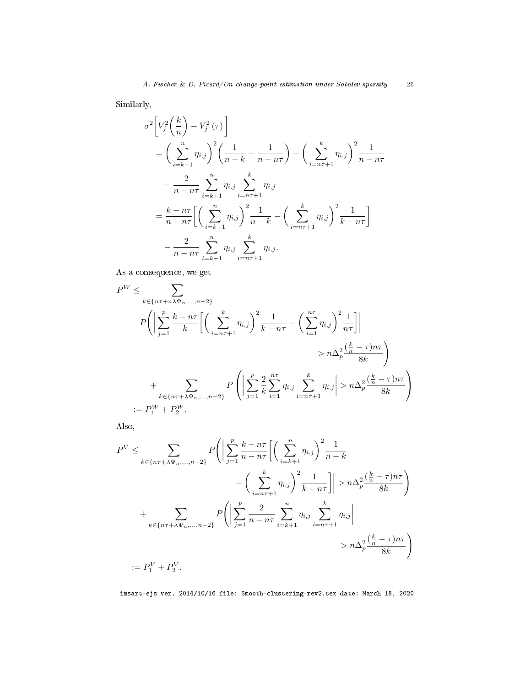Similarly,

$$
\sigma^{2}\left[V_{j}^{2}\left(\frac{k}{n}\right)-V_{j}^{2}(\tau)\right]
$$
\n
$$
=\left(\sum_{i=k+1}^{n}\eta_{i,j}\right)^{2}\left(\frac{1}{n-k}-\frac{1}{n-n\tau}\right)-\left(\sum_{i=n\tau+1}^{k}\eta_{i,j}\right)^{2}\frac{1}{n-n\tau}
$$
\n
$$
-\frac{2}{n-n\tau}\sum_{i=k+1}^{n}\eta_{i,j}\sum_{i=n\tau+1}^{k}\eta_{i,j}
$$
\n
$$
=\frac{k-n\tau}{n-n\tau}\left[\left(\sum_{i=k+1}^{n}\eta_{i,j}\right)^{2}\frac{1}{n-k}-\left(\sum_{i=n\tau+1}^{k}\eta_{i,j}\right)^{2}\frac{1}{k-n\tau}\right]
$$
\n
$$
-\frac{2}{n-n\tau}\sum_{i=k+1}^{n}\eta_{i,j}\sum_{i=n\tau+1}^{k}\eta_{i,j}.
$$

As a consequence, we get

$$
P^{W} \leq \sum_{k \in \{n\tau + n\lambda\Psi_{n},...,n-2\}} P\left(\left|\sum_{j=1}^{p} \frac{k - n\tau}{k}\left[\left(\sum_{i=n\tau+1}^{k} \eta_{i,j}\right)^{2} \frac{1}{k - n\tau} - \left(\sum_{i=1}^{n\tau} \eta_{i,j}\right)^{2} \frac{1}{n\tau}\right]\right|
$$
  

$$
> n\Delta_{p}^{2} \frac{\left(\frac{k}{n} - \tau\right)n\tau}{8k}
$$
  

$$
+ \sum_{k \in \{n\tau + \lambda\Psi_{n},...,n-2\}} P\left(\left|\sum_{j=1}^{p} \frac{2}{k} \sum_{i=1}^{n\tau} \eta_{i,j} \sum_{i=n\tau+1}^{k} \eta_{i,j}\right| > n\Delta_{p}^{2} \frac{\left(\frac{k}{n} - \tau\right)n\tau}{8k}
$$
  

$$
:= P_{1}^{W} + P_{2}^{W}.
$$

Also,

$$
P^{V} \leq \sum_{k \in \{n\tau + \lambda \Psi_n, \dots, n-2\}} P\left(\left|\sum_{j=1}^{p} \frac{k - n\tau}{n - n\tau} \left[ \left(\sum_{i=k+1}^{n} \eta_{i,j}\right)^{2} \frac{1}{n - k} - \left(\sum_{i=n\tau+1}^{k} \eta_{i,j}\right)^{2} \frac{1}{k - n\tau} \right] \right| > n\Delta_{p}^{2} \frac{\left(\frac{k}{n} - \tau\right) n\tau}{8k} \right)
$$
  
+ 
$$
\sum_{k \in \{n\tau + \lambda \Psi_n, \dots, n-2\}} P\left(\left|\sum_{j=1}^{p} \frac{2}{n - n\tau} \sum_{i=k+1}^{n} \eta_{i,j} \sum_{i=n\tau+1}^{k} \eta_{i,j}\right| > n\Delta_{p}^{2} \frac{\left(\frac{k}{n} - \tau\right) n\tau}{8k} \right)
$$
  
:= 
$$
P_{1}^{V} + P_{2}^{V}.
$$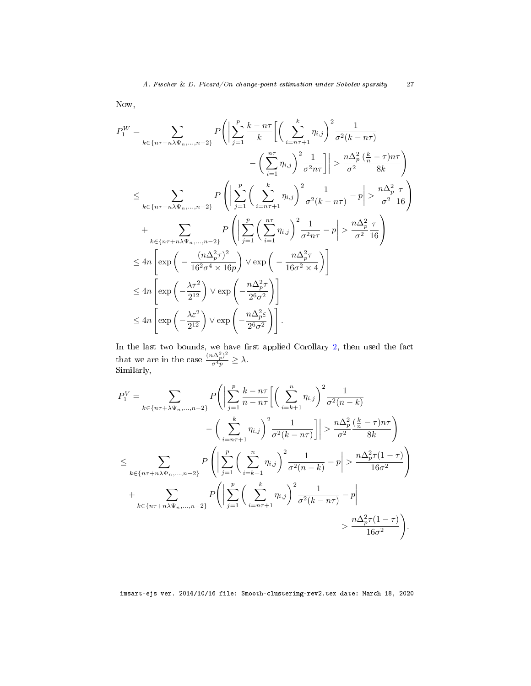Now,

$$
P_1^W = \sum_{k \in \{n\tau + n\lambda\Psi_n, \dots, n-2\}} P\left(\left|\sum_{j=1}^p \frac{k - n\tau}{k}\right| \left(\sum_{i=n\tau+1}^k \eta_{i,j}\right)^2 \frac{1}{\sigma^2(k - n\tau)} - \left(\sum_{i=1}^{n\tau} \eta_{i,j}\right)^2 \frac{1}{\sigma^2 n\tau}\right| > \frac{n\Delta_p^2}{\sigma^2} \frac{\left(\frac{k}{n} - \tau\right) n\tau}{8k}
$$
  

$$
\leq \sum_{k \in \{n\tau + n\lambda\Psi_n, \dots, n-2\}} P\left(\left|\sum_{j=1}^p \left(\sum_{i=n\tau+1}^k \eta_{i,j}\right)^2 \frac{1}{\sigma^2(k - n\tau)} - p\right| > \frac{n\Delta_p^2}{\sigma^2} \frac{\tau}{16}\right)
$$
  

$$
+ \sum_{k \in \{n\tau + n\lambda\Psi_n, \dots, n-2\}} P\left(\left|\sum_{j=1}^p \left(\sum_{i=1}^{n\tau} \eta_{i,j}\right)^2 \frac{1}{\sigma^2 n\tau} - p\right| > \frac{n\Delta_p^2}{\sigma^2} \frac{\tau}{16}\right)
$$
  

$$
\leq 4n \left[\exp\left(-\frac{(n\Delta_p^2 \tau)^2}{16^2 \sigma^4 \times 16p}\right) \vee \exp\left(-\frac{n\Delta_p^2 \tau}{16\sigma^2 \times 4}\right)\right]
$$
  

$$
\leq 4n \left[\exp\left(-\frac{\lambda\tau^2}{2^{12}}\right) \vee \exp\left(-\frac{n\Delta_p^2 \tau}{2^6 \sigma^2}\right)\right]
$$
  

$$
\leq 4n \left[\exp\left(-\frac{\lambda\varepsilon^2}{2^{12}}\right) \vee \exp\left(-\frac{n\Delta_p^2 \varepsilon}{2^6 \sigma^2}\right)\right].
$$

In the last two bounds, we have first applied Corollary  $2$ , then used the fact that we are in the case  $\frac{(n\Delta_p^2)^2}{\sigma^4 p} \geq \lambda$ . Similarly,

$$
P_1^V = \sum_{k \in \{n\tau + \lambda \Psi_n, \dots, n-2\}} P\left(\left|\sum_{j=1}^p \frac{k - n\tau}{n - n\tau} \left[\left(\sum_{i=k+1}^n \eta_{i,j}\right)^2 \frac{1}{\sigma^2(n-k)} - \left(\sum_{i=n\tau+1}^k \eta_{i,j}\right)^2 \frac{1}{\sigma^2(k - n\tau)}\right]\right| > \frac{n\Delta_p^2}{\sigma^2} \frac{\left(\frac{k}{n} - \tau\right)n\tau}{8k}\right)
$$
  

$$
\leq \sum_{k \in \{n\tau + n\lambda \Psi_n, \dots, n-2\}} P\left(\left|\sum_{j=1}^p \left(\sum_{i=k+1}^n \eta_{i,j}\right)^2 \frac{1}{\sigma^2(n-k)} - p\right| > \frac{n\Delta_p^2 \tau(1-\tau)}{16\sigma^2}\right)
$$
  

$$
+ \sum_{k \in \{n\tau + n\lambda \Psi_n, \dots, n-2\}} P\left(\left|\sum_{j=1}^p \left(\sum_{i=n\tau+1}^k \eta_{i,j}\right)^2 \frac{1}{\sigma^2(k - n\tau)} - p\right| > \frac{n\Delta_p^2 \tau(1-\tau)}{16\sigma^2}\right).
$$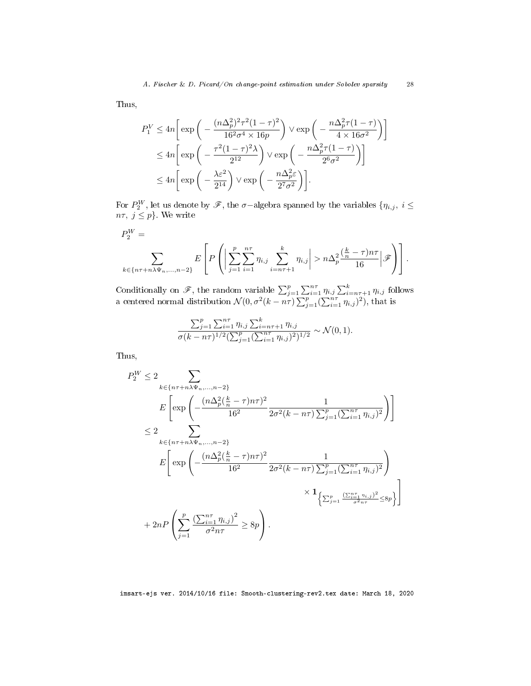Thus,

$$
P_1^V \le 4n \left[ \exp \left( -\frac{(n\Delta_p^2)^2 \tau^2 (1-\tau)^2}{16^2 \sigma^4 \times 16p} \right) \vee \exp \left( -\frac{n\Delta_p^2 \tau (1-\tau)}{4 \times 16\sigma^2} \right) \right]
$$
  

$$
\le 4n \left[ \exp \left( -\frac{\tau^2 (1-\tau)^2 \lambda}{2^{12}} \right) \vee \exp \left( -\frac{n\Delta_p^2 \tau (1-\tau)}{2^6 \sigma^2} \right) \right]
$$
  

$$
\le 4n \left[ \exp \left( -\frac{\lambda \varepsilon^2}{2^{14}} \right) \vee \exp \left( -\frac{n\Delta_p^2 \varepsilon}{2^7 \sigma^2} \right) \right].
$$

For  $P_2^W$ , let us denote by  $\mathscr{F}$ , the  $\sigma$ –algebra spanned by the variables  $\{\eta_{i,j},\ i\leq j\}$  $n\tau, j \leq p$ . We write

$$
P_2^W = \sum_{k \in \{n\tau + n\lambda\Psi_n, \dots, n-2\}} E\left[ P\left( \left| \sum_{j=1}^p \sum_{i=1}^{n\tau} \eta_{i,j} \sum_{i=n\tau+1}^k \eta_{i,j} \right| > n\Delta_p^2 \frac{\left(\frac{k}{n} - \tau\right)n\tau}{16} \right| \mathscr{F} \right) \right].
$$

Conditionally on  $\mathscr{F}$ , the random variable  $\sum_{j=1}^p \sum_{i=1}^{n\tau} \eta_{i,j} \sum_{i=n\tau+1}^k \eta_{i,j}$  follows a centered normal distribution  $\mathcal{N}(0, \sigma^2(k - n\tau) \sum_{j=1}^p (\sum_{i=1}^{n\tau} \eta_{i,j})^2)$ , that is

$$
\frac{\sum_{j=1}^p \sum_{i=1}^{n\tau} \eta_{i,j} \sum_{i=n\tau+1}^k \eta_{i,j}}{\sigma(k-n\tau)^{1/2} \left(\sum_{j=1}^p (\sum_{i=1}^{n\tau} \eta_{i,j})^2\right)^{1/2}} \sim \mathcal{N}(0, 1).
$$

Thus,

$$
P_2^W \le 2 \sum_{k \in \{n\tau + n\lambda \Psi_n, ..., n-2\}} \sum_{E \left[ \exp\left(-\frac{(n\Delta_p^2(\frac{k}{n} - \tau)n\tau)^2}{16^2} \frac{1}{2\sigma^2(k - n\tau)\sum_{j=1}^p (\sum_{i=1}^{n\tau} \eta_{i,j})^2}\right) \right] \n\le 2 \sum_{k \in \{n\tau + n\lambda \Psi_n, ..., n-2\}} \sum_{E \left[ \exp\left(-\frac{(n\Delta_p^2(\frac{k}{n} - \tau)n\tau)^2}{16^2} \frac{1}{2\sigma^2(k - n\tau)\sum_{j=1}^p (\sum_{i=1}^{n\tau} \eta_{i,j})^2}\right) \right] \n\quad \times \mathbf{1}_{\left\{\sum_{j=1}^p \frac{(\sum_{i=1}^{n\tau} \eta_{i,j})^2}{\sigma^2 n\tau} \le 8p\right\}} \right]} \times 1_{\left\{\sum_{j=1}^p \frac{(\sum_{i=1}^{n\tau} \eta_{i,j})^2}{\sigma^2 n\tau} \le 8p\right\}}.
$$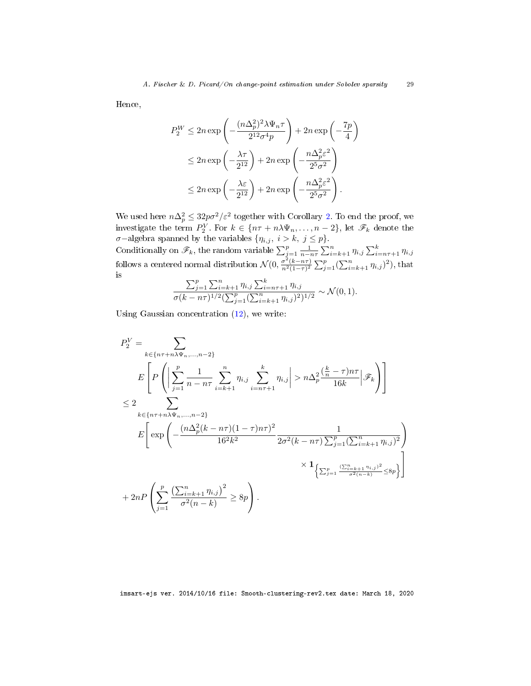Hence,

$$
P_2^W \le 2n \exp\left(-\frac{(n\Delta_p^2)^2 \lambda \Psi_n \tau}{2^{12} \sigma^4 p}\right) + 2n \exp\left(-\frac{7p}{4}\right)
$$
  

$$
\le 2n \exp\left(-\frac{\lambda \tau}{2^{12}}\right) + 2n \exp\left(-\frac{n\Delta_p^2 \varepsilon^2}{2^5 \sigma^2}\right)
$$
  

$$
\le 2n \exp\left(-\frac{\lambda \varepsilon}{2^{12}}\right) + 2n \exp\left(-\frac{n\Delta_p^2 \varepsilon^2}{2^5 \sigma^2}\right).
$$

We used here  $n\Delta_p^2 \leq 32p\sigma^2/\varepsilon^2$  together with Corollary [2.](#page-39-4) To end the proof, we investigate the term  $P_2^V$ . For  $k \in \{n\tau + n\lambda\Psi_n, \ldots, n-2\}$ , let  $\mathscr{F}_k$  denote the  $\sigma$ −algebra spanned by the variables  $\{\eta_{i,j}, i > k, j \leq p\}.$ 

Conditionally on  $\mathscr{F}_k$ , the random variable  $\sum_{j=1}^p \frac{1}{n-n\tau} \sum_{i=k+1}^n \eta_{i,j} \sum_{i=n\tau+1}^k \eta_{i,j}$ follows a centered normal distribution  $\mathcal{N}(0, \frac{\sigma^2(k-n\tau)}{n^2(1-\tau)^2} \sum_{j=1}^p (\sum_{i=k+1}^n \eta_{i,j})^2)$ , that is

$$
\frac{\sum_{j=1}^p \sum_{i=k+1}^n \eta_{i,j} \sum_{i=n\tau+1}^k \eta_{i,j}}{\sigma(k-n\tau)^{1/2} (\sum_{j=1}^p (\sum_{i=k+1}^n \eta_{i,j})^2)^{1/2}} \sim \mathcal{N}(0, 1).
$$

Using Gaussian concentration [\(12\)](#page-38-1), we write:

$$
P_{2}^{V} = \sum_{k \in \{n\tau + n\lambda\Psi_{n}, ..., n-2\}} \n\begin{aligned}\nE\left[P\left(\left|\sum_{j=1}^{p} \frac{1}{n - n\tau} \sum_{i=k+1}^{n} \eta_{i,j} \sum_{i=n\tau+1}^{k} \eta_{i,j}\right| > n\Delta_{p}^{2} \frac{\left(\frac{k}{n} - \tau\right)n\tau}{16k} \middle| \mathcal{F}_{k}\right)\right] \\
&\leq 2 \sum_{k \in \{n\tau + n\lambda\Psi_{n}, ..., n-2\}} \nE\left[\exp\left(-\frac{(n\Delta_{p}^{2}(k - n\tau)(1 - \tau)n\tau)^{2}}{16^{2}k^{2}} \frac{1}{2\sigma^{2}(k - n\tau)\sum_{j=1}^{p}(\sum_{i=k+1}^{n} \eta_{i,j})^{2}}\right)\right. \\
&\quad \times \mathbf{1}_{\left\{\sum_{j=1}^{p} \frac{\left(\sum_{i=k+1}^{n} \eta_{i,j}\right)^{2}}{\sigma^{2}(n - k)} \leq 8p\right\}}.\n\end{aligned}
$$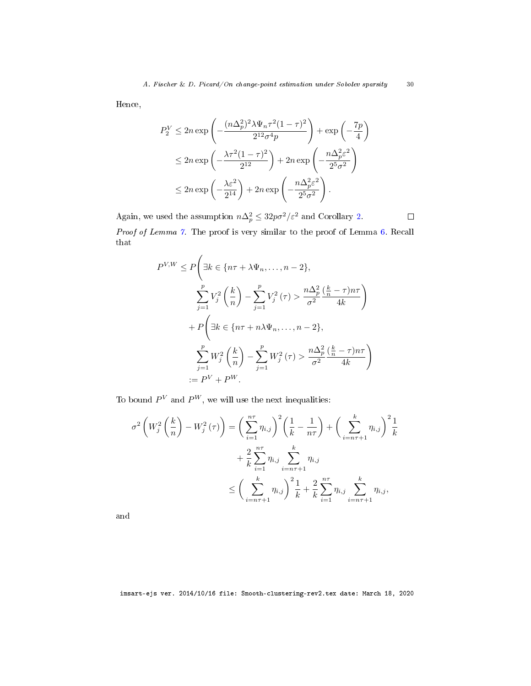Hence,

$$
P_2^V \le 2n \exp\left(-\frac{(n\Delta_p^2)^2 \lambda \Psi_n \tau^2 (1-\tau)^2}{2^{12} \sigma^4 p}\right) + \exp\left(-\frac{7p}{4}\right)
$$
  

$$
\le 2n \exp\left(-\frac{\lambda \tau^2 (1-\tau)^2}{2^{12}}\right) + 2n \exp\left(-\frac{n\Delta_p^2 \varepsilon^2}{2^5 \sigma^2}\right)
$$
  

$$
\le 2n \exp\left(-\frac{\lambda \varepsilon^2}{2^{14}}\right) + 2n \exp\left(-\frac{n\Delta_p^2 \varepsilon^2}{2^5 \sigma^2}\right).
$$

Again, we used the assumption  $n\Delta_p^2 \leq 32p\sigma^2/\varepsilon^2$  and Corollary [2.](#page-39-4)  $\Box$ Proof of Lemma [7.](#page-19-3) The proof is very similar to the proof of Lemma [6.](#page-19-2) Recall that

$$
P^{V,W} \le P\left(\exists k \in \{n\tau + \lambda \Psi_n, \dots, n-2\},\right)
$$
  

$$
\sum_{j=1}^p V_j^2 \left(\frac{k}{n}\right) - \sum_{j=1}^p V_j^2(\tau) > \frac{n\Delta_p^2}{\sigma^2} \frac{\left(\frac{k}{n} - \tau\right)n\tau}{4k}
$$
  

$$
+ P\left(\exists k \in \{n\tau + n\lambda \Psi_n, \dots, n-2\},\right)
$$
  

$$
\sum_{j=1}^p W_j^2 \left(\frac{k}{n}\right) - \sum_{j=1}^p W_j^2(\tau) > \frac{n\Delta_p^2}{\sigma^2} \frac{\left(\frac{k}{n} - \tau\right)n\tau}{4k}
$$
  

$$
:= P^V + P^W.
$$

To bound  $P^V$  and  $P^W$ , we will use the next inequalities:

$$
\sigma^{2}\left(W_{j}^{2}\left(\frac{k}{n}\right)-W_{j}^{2}\left(\tau\right)\right)=\left(\sum_{i=1}^{n\tau}\eta_{i,j}\right)^{2}\left(\frac{1}{k}-\frac{1}{n\tau}\right)+\left(\sum_{i=n\tau+1}^{k}\eta_{i,j}\right)^{2}\frac{1}{k} + \frac{2}{k}\sum_{i=1}^{n\tau}\eta_{i,j}\sum_{i=n\tau+1}^{k}\eta_{i,j} \leq \left(\sum_{i=n\tau+1}^{k}\eta_{i,j}\right)^{2}\frac{1}{k}+\frac{2}{k}\sum_{i=1}^{n\tau}\eta_{i,j}\sum_{i=n\tau+1}^{k}\eta_{i,j},
$$

and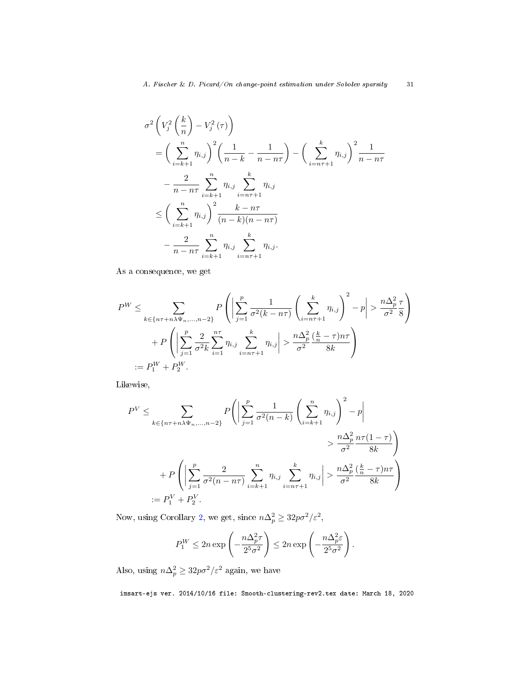$$
\sigma^{2}\left(V_{j}^{2}\left(\frac{k}{n}\right)-V_{j}^{2}\left(\tau\right)\right) = \left(\sum_{i=k+1}^{n}\eta_{i,j}\right)^{2}\left(\frac{1}{n-k}-\frac{1}{n-n\tau}\right) - \left(\sum_{i=n\tau+1}^{k}\eta_{i,j}\right)^{2}\frac{1}{n-n\tau} - \frac{2}{n-n\tau}\sum_{i=k+1}^{n}\eta_{i,j}\sum_{i=n\tau+1}^{k}\eta_{i,j}
$$
  

$$
\leq \left(\sum_{i=k+1}^{n}\eta_{i,j}\right)^{2}\frac{k-n\tau}{(n-k)(n-n\tau)} - \frac{2}{n-n\tau}\sum_{i=k+1}^{n}\eta_{i,j}\sum_{i=n\tau+1}^{k}\eta_{i,j}.
$$

As a consequence, we get

$$
P^{W} \leq \sum_{k \in \{n\tau + n\lambda\Psi_n, \dots, n-2\}} P\left( \left| \sum_{j=1}^p \frac{1}{\sigma^2(k - n\tau)} \left( \sum_{i=n\tau+1}^k \eta_{i,j} \right)^2 - p \right| > \frac{n\Delta_p^2}{\sigma^2} \frac{\tau}{8} \right)
$$
  
+ 
$$
P\left( \left| \sum_{j=1}^p \frac{2}{\sigma^2 k} \sum_{i=1}^{n\tau} \eta_{i,j} \sum_{i=n\tau+1}^k \eta_{i,j} \right| > \frac{n\Delta_p^2}{\sigma^2} \frac{\left(\frac{k}{n} - \tau\right)n\tau}{8k} \right)
$$
  
:= 
$$
P_1^W + P_2^W.
$$

Likewise,

$$
P^{V} \leq \sum_{k \in \{n\tau + n\lambda\Psi_n, \dots, n-2\}} P\left(\left|\sum_{j=1}^{p} \frac{1}{\sigma^2(n-k)} \left(\sum_{i=k+1}^{n} \eta_{i,j}\right)^2 - p\right| \right)
$$
  

$$
> \frac{n\Delta_p^2}{\sigma^2} \frac{n\tau(1-\tau)}{8k}
$$
  

$$
+ P\left(\left|\sum_{j=1}^{p} \frac{2}{\sigma^2(n-n\tau)} \sum_{i=k+1}^{n} \eta_{i,j} \sum_{i=n\tau+1}^{k} \eta_{i,j}\right| > \frac{n\Delta_p^2}{\sigma^2} \frac{\left(\frac{k}{n} - \tau\right)n\tau}{8k}
$$
  

$$
:= P_1^V + P_2^V.
$$

Now, using Corollary [2,](#page-39-4) we get, since  $n\Delta_p^2 \geq 32p\sigma^2/\varepsilon^2$ ,

$$
P_1^W \le 2n \exp\left(-\frac{n\Delta_p^2 \tau}{2^5 \sigma^2}\right) \le 2n \exp\left(-\frac{n\Delta_p^2 \varepsilon}{2^5 \sigma^2}\right).
$$

Also, using  $n\Delta_p^2 \geq 32p\sigma^2/\varepsilon^2$  again, we have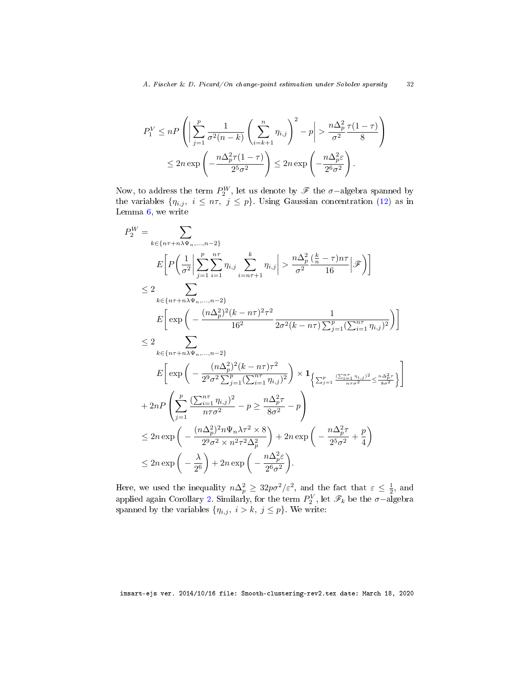$$
P_1^V \le nP\left(\left|\sum_{j=1}^p \frac{1}{\sigma^2(n-k)} \left(\sum_{i=k+1}^n \eta_{i,j}\right)^2 - p\right| > \frac{n\Delta_p^2 \tau(1-\tau)}{\sigma^2} \frac{\tau(1-\tau)}{8}\right)
$$
  

$$
\le 2n \exp\left(-\frac{n\Delta_p^2 \tau(1-\tau)}{2^5 \sigma^2}\right) \le 2n \exp\left(-\frac{n\Delta_p^2 \varepsilon}{2^6 \sigma^2}\right).
$$

Now, to address the term  $P_2^W$ , let us denote by  $\mathscr F$  the  $\sigma$ –algebra spanned by the variables  $\{\eta_{i,j}, i \leq n\tau, j \leq p\}$ . Using Gaussian concentration [\(12\)](#page-38-1) as in Lemma  $6$ , we write

$$
P_2^W = \sum_{k \in \{n\tau + n\lambda\Psi_n, \dots, n-2\}} P_2^W = \sum_{k \in \{n\tau + n\lambda\Psi_n, \dots, n-2\}} P_2^W = \sum_{i=1}^p n_{i,j} \sum_{i=n\tau+1}^k n_{i,j} \left| > \frac{n\Delta_p^2}{\sigma^2} \frac{\left(\frac{k}{n} - \tau\right)n\tau}{16} \right| \mathcal{F} \right)
$$
  
\n
$$
\leq 2 \sum_{k \in \{n\tau + n\lambda\Psi_n, \dots, n-2\}} E \left[ \exp\left(-\frac{(n\Delta_p^2)^2 (k - n\tau)^2 \tau^2}{16^2} \frac{1}{2\sigma^2 (k - n\tau) \sum_{j=1}^p (\sum_{i=1}^{n\tau} n_{i,j})^2} \right) \right]
$$
  
\n
$$
\leq 2 \sum_{k \in \{n\tau + n\lambda\Psi_n, \dots, n-2\}} E \left[ \exp\left(-\frac{(n\Delta_p^2)^2 (k - n\tau)\tau^2}{2^9 \sigma^2 \sum_{j=1}^p (\sum_{i=1}^{n\tau} n_{i,j})^2} \right) \times \mathbf{1}_{\left\{\sum_{j=1}^p \frac{(\sum_{i=1}^{n\tau} n_{i,j})^2}{n\tau \sigma^2} \le \frac{n\Delta_p^2 \tau}{8\sigma^2} \right\}} \right]
$$
  
\n
$$
+ 2nP \left( \sum_{j=1}^p \frac{(\sum_{i=1}^{n\tau} n_{i,j})^2}{n\tau \sigma^2} - p \ge \frac{n\Delta_p^2 \tau}{8\sigma^2} - p \right)
$$
  
\n
$$
\leq 2n \exp\left(-\frac{(n\Delta_p^2)^2 n\Psi_n \lambda \tau^2 \times 8}{2^9 \sigma^2 \times n^2 \tau^2 \Delta_p^2} \right) + 2n \exp\left(-\frac{n\Delta_p^2 \tau}{2^5 \sigma^2} + \frac{p}{4}\right)
$$
  
\n
$$
\leq 2n \exp\left(-\frac{\lambda}{2^6}\right) + 2n \exp\left(-\frac{n\Delta_p^2 \varepsilon}{2^6 \sigma^2}\right).
$$

Here, we used the inequality  $n\Delta_p^2 \geq 32p\sigma^2/\varepsilon^2$ , and the fact that  $\varepsilon \leq \frac{1}{2}$ , and applied again Corollary [2.](#page-39-4) Similarly, for the term  $P_2^V$ , let  $\mathscr{F}_k$  be the  $\sigma$ -algebra spanned by the variables  $\{\eta_{i,j}, i > k, j \leq p\}$ . We write: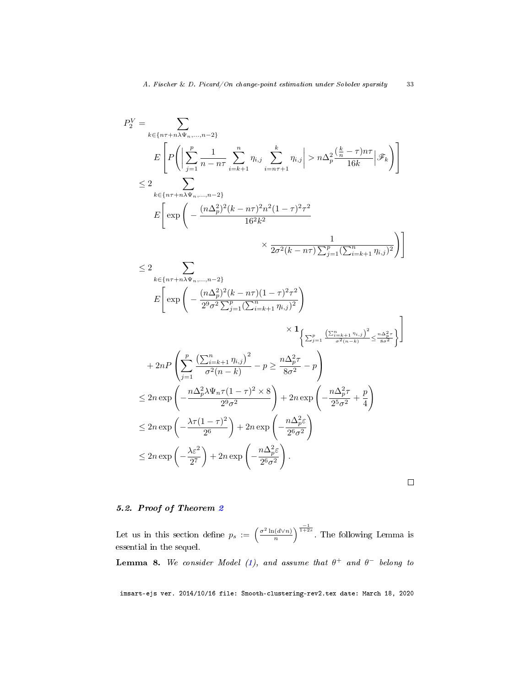$$
P_2^V = \sum_{k \in \{n\tau + n\lambda\Psi_n, \dots, n-2\}} P_2^V = \sum_{k \in \{n\tau + n\lambda\Psi_n, \dots, n-2\}} \sum_{k \in \{n\tau + n\lambda\Psi_n, \dots, n-2\}} \eta_{k,j} \left| > n\Delta_p^2 \frac{\left(\frac{k}{n} - \tau\right)n\tau}{16k} \middle| \mathcal{F}_k \right) \right|
$$
\n
$$
\leq 2 \sum_{k \in \{n\tau + n\lambda\Psi_n, \dots, n-2\}} E \left[ \exp\left( -\frac{(n\Delta_p^2)^2 (k - n\tau)^2 n^2 (1 - \tau)^2 \tau^2}{16^2 k^2} \right) \times \frac{1}{2\sigma^2 (k - n\tau) \sum_{j=1}^p (\sum_{i=k+1}^n \eta_{i,j})^2} \right) \right]
$$
\n
$$
\leq 2 \sum_{k \in \{n\tau + n\lambda\Psi_n, \dots, n-2\}} E \left[ \exp\left( -\frac{(n\Delta_p^2)^2 (k - n\tau)(1 - \tau)^2 \tau^2}{2^9 \sigma^2 \sum_{j=1}^n (\sum_{i=k+1}^n \eta_{i,j})^2} \right) \times \left\{ \sum_{j=1}^n \frac{\left(\sum_{i=k+1}^n \eta_{i,j}\right)^2}{\sigma^2 (n-k)} \leq \frac{n\Delta_p^2 \tau}{\sigma^2 (n-k)} \right\} \right]
$$
\n
$$
+ 2nP \left( \sum_{j=1}^p \frac{\left(\sum_{i=k+1}^n \eta_{i,j}\right)^2}{\sigma^2 (n-k)} - p \geq \frac{n\Delta_p^2 \tau}{8\sigma^2} - p \right) \leq 2n \exp\left( -\frac{n\Delta_p^2 \lambda \Psi_n \tau (1 - \tau)^2 \times 8}{2^9 \sigma^2} \right) + 2n \exp\left( -\frac{n\Delta_p^2 \tau}{2^5 \sigma^2} + \frac{p}{4} \right) \leq 2n \exp\left( -\frac{\lambda \tau (1 - \tau)^2}{2^6} \right) + 2n \exp\left( -\frac{n\Delta_p^2 \epsilon}{2^6 \sigma^2} \right) \leq 2n \exp\left( -\frac{\lambda \tau^2}{2^7} \right
$$

 $\Box$ 

# <span id="page-33-0"></span>5.2. Proof of Theorem [2](#page-12-0)

Let us in this section define  $p_s := \left(\frac{\sigma^2 \ln(d \vee n)}{n}\right)$  $\frac{(d\vee n)}{n}$ ) $\frac{-1}{1+2s}$ . The following Lemma is essential in the sequel.

<span id="page-33-1"></span>**Lemma 8.** We consider Model [\(1\)](#page-3-1), and assume that  $\theta^+$  and  $\theta^-$  belong to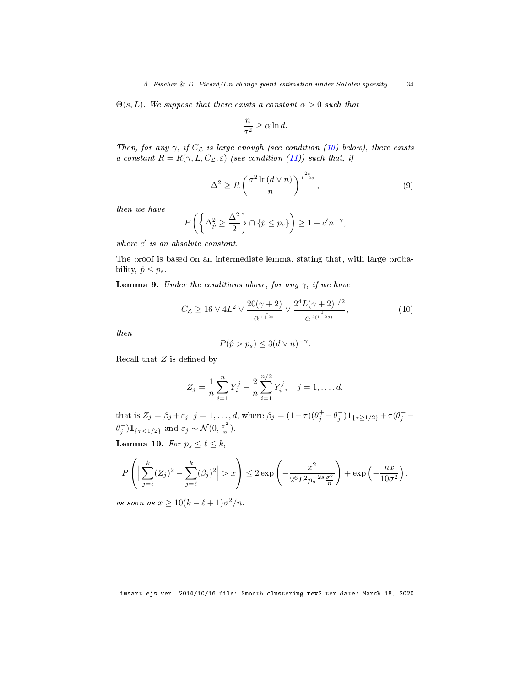$\Theta(s, L)$ . We suppose that there exists a constant  $\alpha > 0$  such that

$$
\frac{n}{\sigma^2} \geq \alpha \ln d.
$$

Then, for any  $\gamma$ , if  $C_{\mathcal{L}}$  is large enough (see condition [\(10\)](#page-34-0) below), there exists a constant  $R = R(\gamma, L, C_{\mathcal{L}}, \varepsilon)$  (see condition [\(11\)](#page-38-2)) such that, if

<span id="page-34-3"></span>
$$
\Delta^2 \ge R \left( \frac{\sigma^2 \ln(d \vee n)}{n} \right)^{\frac{2s}{1+2s}}, \qquad (9)
$$

then we have

$$
P\left(\left\{\Delta_{\hat{p}}^2 \ge \frac{\Delta^2}{2}\right\} \cap \{\hat{p} \le p_s\}\right) \ge 1 - c'n^{-\gamma},
$$

where  $c'$  is an absolute constant.

The proof is based on an intermediate lemma, stating that, with large probability,  $\hat{p} \leq p_s$ .

<span id="page-34-2"></span>**Lemma 9.** Under the conditions above, for any  $\gamma$ , if we have

<span id="page-34-0"></span>
$$
C_{\mathcal{L}} \ge 16 \vee 4L^2 \vee \frac{20(\gamma + 2)}{\alpha^{\frac{1}{1+2s}}} \vee \frac{2^4 L(\gamma + 2)^{1/2}}{\alpha^{\frac{1}{2(1+2s)}}},\tag{10}
$$

then

$$
P(\hat{p} > p_s) \le 3(d \vee n)^{-\gamma}.
$$

Recall that  $Z$  is defined by

$$
Z_j = \frac{1}{n} \sum_{i=1}^n Y_i^j - \frac{2}{n} \sum_{i=1}^{n/2} Y_i^j, \quad j = 1, \dots, d,
$$

that is  $Z_j = \beta_j + \varepsilon_j$ ,  $j = 1, ..., d$ , where  $\beta_j = (1 - \tau)(\theta_j^+ - \theta_j^-) \mathbf{1}_{\{\tau \geq 1/2\}} + \tau(\theta_j^+ - \theta_j^-)$  $\theta_j^{-}$ ) $1_{\{\tau < 1/2\}}$  and  $\varepsilon_j \sim \mathcal{N}(0, \frac{\sigma^2}{n})$  $\frac{\sigma^2}{n}$ ).

<span id="page-34-1"></span>Lemma 10. For  $p_s \leq \ell \leq k$ ,

$$
P\left(\Big|\sum_{j=\ell}^k (Z_j)^2 - \sum_{j=\ell}^k (\beta_j)^2\Big| > x\right) \le 2 \exp\left(-\frac{x^2}{2^6 L^2 p_s^{-2s} \frac{\sigma^2}{n}}\right) + \exp\left(-\frac{nx}{10\sigma^2}\right),
$$

as soon as  $x \geq 10(k - \ell + 1)\sigma^2/n$ .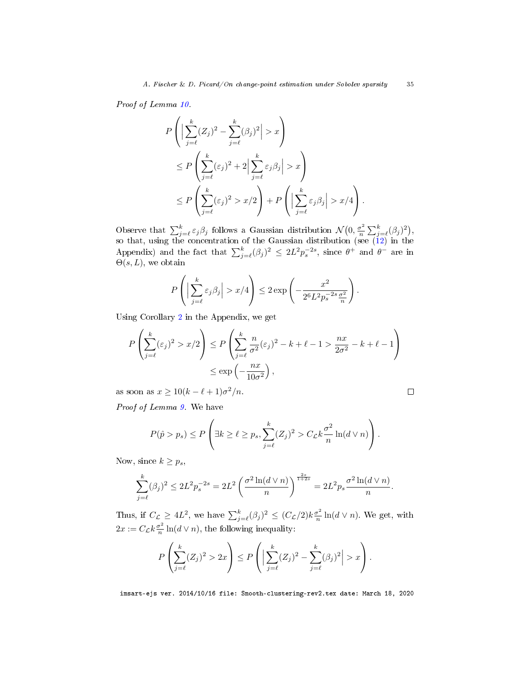Proof of Lemma [10.](#page-34-1)

$$
P\left(\Big|\sum_{j=\ell}^{k} (Z_j)^2 - \sum_{j=\ell}^{k} (\beta_j)^2\Big| > x\right)
$$
  
\n
$$
\leq P\left(\sum_{j=\ell}^{k} (\varepsilon_j)^2 + 2\Big|\sum_{j=\ell}^{k} \varepsilon_j \beta_j\Big| > x\right)
$$
  
\n
$$
\leq P\left(\sum_{j=\ell}^{k} (\varepsilon_j)^2 > x/2\right) + P\left(\Big|\sum_{j=\ell}^{k} \varepsilon_j \beta_j\Big| > x/4\right).
$$

Observe that  $\sum_{j=\ell}^{k} \varepsilon_j \beta_j$  follows a Gaussian distribution  $\mathcal{N}(0, \frac{\sigma^2}{n})$  $\frac{\sigma^2}{n} \sum_{j=\ell}^k (\beta_j)^2$ , so that, using the concentration of the Gaussian distribution (see  $(12)$  in the Appendix) and the fact that  $\sum_{j=\ell}^{k}(\beta_j)^2 \leq 2L^2p_s^{-2s}$ , since  $\theta^+$  and  $\theta^-$  are in  $\Theta(s,L)$ , we obtain

$$
P\left(\Big|\sum_{j=\ell}^k \varepsilon_j \beta_j\Big| > x/4\right) \le 2 \exp\left(-\frac{x^2}{2^6 L^2 p_s^{-2s} \frac{\sigma^2}{n}}\right)
$$

.

 $\Box$ 

Using Corollary [2](#page-39-4) in the Appendix, we get

$$
P\left(\sum_{j=\ell}^k (\varepsilon_j)^2 > x/2\right) \le P\left(\sum_{j=\ell}^k \frac{n}{\sigma^2} (\varepsilon_j)^2 - k + \ell - 1 > \frac{nx}{2\sigma^2} - k + \ell - 1\right)
$$
  

$$
\le \exp\left(-\frac{nx}{10\sigma^2}\right),
$$

as soon as  $x \geq 10(k - \ell + 1)\sigma^2/n$ .

Proof of Lemma [9.](#page-34-2) We have

$$
P(\hat{p} > p_s) \le P\left(\exists k \ge \ell \ge p_s, \sum_{j=\ell}^k (Z_j)^2 > C_{\mathcal{L}}k\frac{\sigma^2}{n}\ln(d\vee n)\right).
$$

Now, since  $k \geq p_s$ ,

$$
\sum_{j=\ell}^k (\beta_j)^2 \le 2L^2 p_s^{-2s} = 2L^2 \left( \frac{\sigma^2 \ln(d \vee n)}{n} \right)^{\frac{2s}{1+2s}} = 2L^2 p_s \frac{\sigma^2 \ln(d \vee n)}{n}.
$$

Thus, if  $C_{\mathcal{L}} \geq 4L^2$ , we have  $\sum_{j=\ell}^k (\beta_j)^2 \leq (C_{\mathcal{L}}/2)k \frac{\sigma^2}{n}$  $\frac{\sigma^2}{n} \ln(d \vee n)$ . We get, with  $2x := C_{\mathcal{L}} k \frac{\sigma^2}{n}$  $\frac{\sigma^2}{n} \ln(d \vee n)$ , the following inequality:

$$
P\left(\sum_{j=\ell}^k (Z_j)^2 > 2x\right) \le P\left(\Big|\sum_{j=\ell}^k (Z_j)^2 - \sum_{j=\ell}^k (\beta_j)^2\Big| > x\right).
$$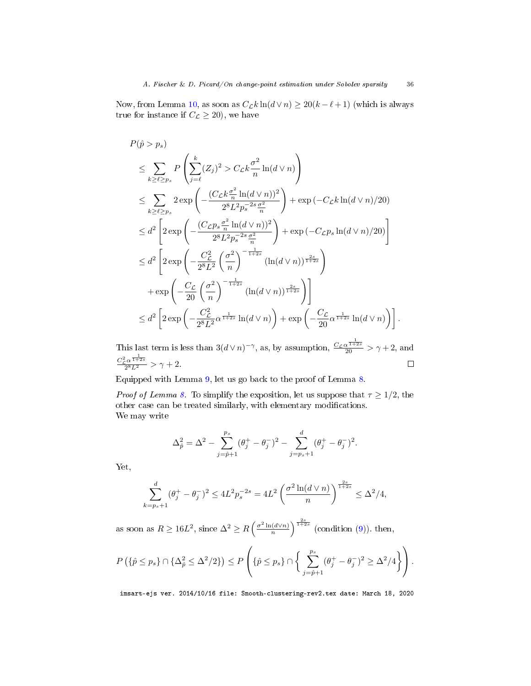Now, from Lemma [10,](#page-34-1) as soon as  $C_{\mathcal{L}} k \ln(d \vee n) \geq 20(k - \ell + 1)$  (which is always true for instance if  $C_{\mathcal{L}} \geq 20$ , we have

$$
P(\hat{p} > p_s)
$$
  
\n
$$
\leq \sum_{k \geq \ell \geq p_s} P\left(\sum_{j=\ell}^{k} (Z_j)^2 > C_{\mathcal{L}} k \frac{\sigma^2}{n} \ln(d \vee n)\right)
$$
  
\n
$$
\leq \sum_{k \geq \ell \geq p_s} 2 \exp\left(-\frac{(C_{\mathcal{L}} k \frac{\sigma^2}{n} \ln(d \vee n))^2}{2^8 L^2 p_s^{-2s} \frac{\sigma^2}{n}}\right) + \exp(-C_{\mathcal{L}} k \ln(d \vee n)/20)
$$
  
\n
$$
\leq d^2 \left[2 \exp\left(-\frac{(C_{\mathcal{L}} p_s \frac{\sigma^2}{n} \ln(d \vee n))^2}{2^8 L^2 p_s^{-2s} \frac{\sigma^2}{n}}\right) + \exp(-C_{\mathcal{L}} p_s \ln(d \vee n)/20)\right]
$$
  
\n
$$
\leq d^2 \left[2 \exp\left(-\frac{C_{\mathcal{L}}^2}{2^8 L^2} \left(\frac{\sigma^2}{n}\right)^{-\frac{1}{1+2s}} (\ln(d \vee n))^{\frac{2s}{1+2s}}\right) + \exp\left(-\frac{C_{\mathcal{L}}}{20} \left(\frac{\sigma^2}{n}\right)^{-\frac{1}{1+2s}} (\ln(d \vee n))^{\frac{2s}{1+2s}}\right)\right]
$$
  
\n
$$
\leq d^2 \left[2 \exp\left(-\frac{C_{\mathcal{L}}^2}{2^8 L^2} \alpha^{\frac{1}{1+2s}} \ln(d \vee n)\right) + \exp\left(-\frac{C_{\mathcal{L}}}{20} \alpha^{\frac{1}{1+2s}} \ln(d \vee n)\right)\right].
$$

This last term is less than  $3(d \vee n)^{-\gamma}$ , as, by assumption,  $\frac{C_{\mathcal{L}}\alpha^{\frac{1}{1+2s}}}{20} > \gamma + 2$ , and  $C_{\mathcal{L}}^2 \alpha^{\frac{1}{1+2s}}$  $\Box$  $\frac{2^{\alpha+2s}}{2^8L^2} > \gamma + 2.$ 

Equipped with Lemma [9,](#page-34-2) let us go back to the proof of Lemma [8.](#page-33-1)

*Proof of Lemma [8.](#page-33-1)* To simplify the exposition, let us suppose that  $\tau \geq 1/2$ , the other case can be treated similarly, with elementary modifications. We may write

$$
\Delta_{\hat{p}}^2 = \Delta^2 - \sum_{j=\hat{p}+1}^{p_s} (\theta_j^+ - \theta_j^-)^2 - \sum_{j=p_s+1}^d (\theta_j^+ - \theta_j^-)^2.
$$

Yet,

$$
\sum_{k=p_s+1}^d (\theta_j^+ - \theta_j^-)^2 \le 4L^2 p_s^{-2s} = 4L^2 \left( \frac{\sigma^2 \ln(d \vee n)}{n} \right)^{\frac{2s}{1+2s}} \le \Delta^2/4,
$$

as soon as  $R \ge 16L^2$ , since  $\Delta^2 \ge R\left(\frac{\sigma^2 \ln(d \vee n)}{n}\right)$  $\frac{(d\vee n)}{n}\Big)^{\frac{2s}{1+2s}}$  (condition [\(9\)](#page-34-3)). then,

$$
P\left(\{\hat{p}\leq p_s\}\cap \{\Delta_{\hat{p}}^2\leq \Delta^2/2\}\right)\leq P\left(\{\hat{p}\leq p_s\}\cap \left\{\sum_{j=\hat{p}+1}^{p_s}(\theta_j^+ - \theta_j^-)^2\geq \Delta^2/4\right\}\right).
$$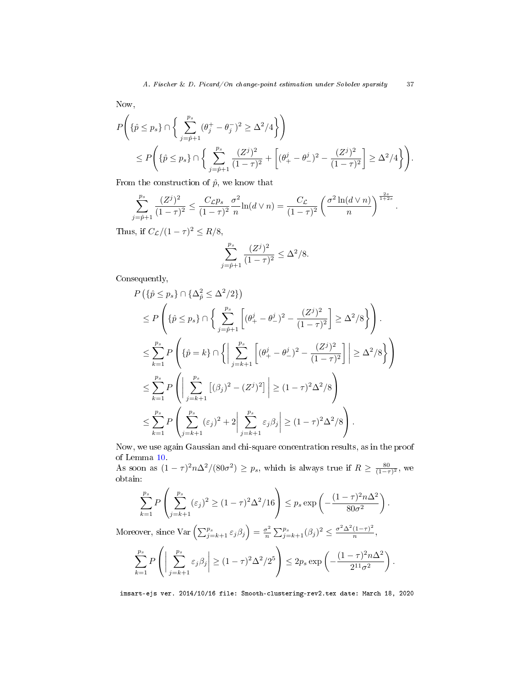Now,

$$
P\left(\{\hat{p}\leq p_s\}\cap\left\{\sum_{j=\hat{p}+1}^{p_s}(\theta_j^+ - \theta_j^-)^2 \geq \Delta^2/4\right\}\right) \n\leq P\left(\{\hat{p}\leq p_s\}\cap\left\{\sum_{j=\hat{p}+1}^{p_s}\frac{(Z^j)^2}{(1-\tau)^2} + \left[(\theta_+^j - \theta_-^j)^2 - \frac{(Z^j)^2}{(1-\tau)^2}\right] \geq \Delta^2/4\right\}\right).
$$

From the construction of  $\hat{p}$ , we know that

$$
\sum_{j=\hat{p}+1}^{p_s} \frac{(Z^j)^2}{(1-\tau)^2} \le \frac{C_{\mathcal{L}} p_s}{(1-\tau)^2} \frac{\sigma^2}{n} \ln(d \vee n) = \frac{C_{\mathcal{L}}}{(1-\tau)^2} \left(\frac{\sigma^2 \ln(d \vee n)}{n}\right)^{\frac{2s}{1+2s}}.
$$

Thus, if  $C_{\mathcal{L}}/(1-\tau)^2 \leq R/8$ ,

$$
\sum_{j=\hat{p}+1}^{p_s} \frac{(Z^j)^2}{(1-\tau)^2} \le \Delta^2/8.
$$

Consequently,

$$
P(\{\hat{p} \le p_s\} \cap {\{\Delta_{\hat{p}}^2 \le \Delta^2/2\}})
$$
  
\n
$$
\le P\left(\{\hat{p} \le p_s\} \cap {\{\sum_{j=\hat{p}+1}^{p_s} \left[ (\theta_+^j - \theta_-^j)^2 - \frac{(Z^j)^2}{(1-\tau)^2} \right] \ge \Delta^2/8\}}\right).
$$
  
\n
$$
\le \sum_{k=1}^{p_s} P\left(\{\hat{p} = k\} \cap {\{\sum_{j=k+1}^{p_s} \left[ (\theta_+^j - \theta_-^j)^2 - \frac{(Z^j)^2}{(1-\tau)^2} \right] \ge \Delta^2/8\}}\right)
$$
  
\n
$$
\le \sum_{k=1}^{p_s} P\left(\left|\sum_{j=k+1}^{p_s} \left[ (\beta_j)^2 - (Z^j)^2 \right] \right| \ge (1-\tau)^2 \Delta^2/8\right)
$$
  
\n
$$
\le \sum_{k=1}^{p_s} P\left(\sum_{j=k+1}^{p_s} (\varepsilon_j)^2 + 2\left| \sum_{j=k+1}^{p_s} \varepsilon_j \beta_j \right| \ge (1-\tau)^2 \Delta^2/8\right).
$$

Now, we use again Gaussian and chi-square concentration results, as in the proof of Lemma [10.](#page-34-1)

As soon as  $(1 - \tau)^2 n \Delta^2 / (80\sigma^2) \ge p_s$ , which is always true if  $R \ge \frac{80}{(1 - \tau)^2}$ , we obtain:

$$
\sum_{k=1}^{p_s} P\left(\sum_{j=k+1}^{p_s} (\varepsilon_j)^2 \ge (1-\tau)^2 \Delta^2 / 16\right) \le p_s \exp\left(-\frac{(1-\tau)^2 n \Delta^2}{80\sigma^2}\right).
$$

Moreover, since  $\text{Var}\left(\sum_{j=k+1}^{p_s} \varepsilon_j \beta_j\right) = \frac{\sigma^2}{n}$  $\frac{\sigma^2}{n} \sum_{j=k+1}^{p_s} (\beta_j)^2 \leq \frac{\sigma^2 \Delta^2 (1-\tau)^2}{n}$  $\frac{(1-\tau)}{n},$ 

$$
\sum_{k=1}^{p_s} P\left( \left| \sum_{j=k+1}^{p_s} \varepsilon_j \beta_j \right| \ge (1-\tau)^2 \Delta^2 / 2^5 \right) \le 2p_s \exp\left( -\frac{(1-\tau)^2 n \Delta^2}{2^{11} \sigma^2} \right).
$$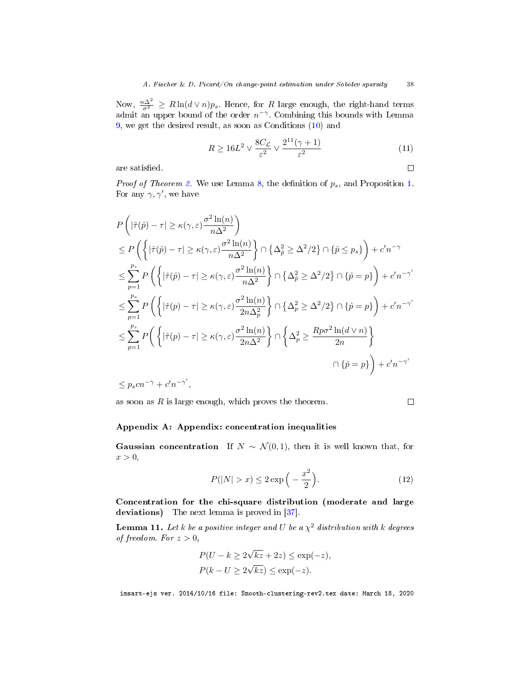Now,  $\frac{n\Delta^2}{\sigma^2} \ge R \ln(d \vee n)p_s$ . Hence, for R large enough, the right-hand terms admit an upper bound of the order  $n^{-\gamma}$ . Combining this bounds with Lemma [9,](#page-34-2) we get the desired result, as soon as Conditions [\(10\)](#page-34-0) and

<span id="page-38-2"></span>
$$
R \ge 16L^2 \vee \frac{8C_{\mathcal{L}}}{\varepsilon^2} \vee \frac{2^{11}(\gamma + 1)}{\varepsilon^2} \tag{11}
$$

are satisfied.

*Proof of Theorem [2.](#page-12-0)* We use Lemma [8,](#page-33-1) the definition of  $p_s$ , and Proposition [1.](#page-7-1) For any  $\gamma$ ,  $\gamma'$ , we have

$$
P\left(|\hat{\tau}(\hat{p}) - \tau| \ge \kappa(\gamma, \varepsilon) \frac{\sigma^2 \ln(n)}{n\Delta^2}\right)
$$
  
\n
$$
\le P\left(\left\{|\hat{\tau}(\hat{p}) - \tau| \ge \kappa(\gamma, \varepsilon) \frac{\sigma^2 \ln(n)}{n\Delta^2}\right\} \cap \left\{\Delta_{\hat{p}}^2 \ge \Delta^2/2\right\} \cap \{\hat{p} \le p_s\}\right) + c'n^{-\gamma}
$$
  
\n
$$
\le \sum_{p=1}^{p_s} P\left(\left\{|\hat{\tau}(\hat{p}) - \tau| \ge \kappa(\gamma, \varepsilon) \frac{\sigma^2 \ln(n)}{n\Delta^2}\right\} \cap \left\{\Delta_{\hat{p}}^2 \ge \Delta^2/2\right\} \cap \{\hat{p} = p\}\right) + c'n^{-\gamma'}
$$
  
\n
$$
\le \sum_{p=1}^{p_s} P\left(\left\{|\hat{\tau}(p) - \tau| \ge \kappa(\gamma, \varepsilon) \frac{\sigma^2 \ln(n)}{2n\Delta_p^2}\right\} \cap \left\{\Delta_p^2 \ge \Delta^2/2\right\} \cap \{\hat{p} = p\}\right) + c'n^{-\gamma'}
$$
  
\n
$$
\le \sum_{p=1}^{p_s} P\left(\left\{|\hat{\tau}(p) - \tau| \ge \kappa(\gamma, \varepsilon) \frac{\sigma^2 \ln(n)}{2n\Delta^2}\right\} \cap \left\{\Delta_p^2 \ge \frac{Rp\sigma^2 \ln(d \vee n)}{2n}\right\}
$$
  
\n
$$
\cap \{\hat{p} = p\}\right) + c'n^{-\gamma'}
$$

 $\leq p_s c n^{-\gamma} + c' n^{-\gamma'},$ 

as soon as  $R$  is large enough, which proves the theorem.

<span id="page-38-1"></span> $\Box$ 

 $\Box$ 

## <span id="page-38-0"></span>Appendix A: Appendix: concentration inequalities

**Gaussian concentration** If  $N \sim \mathcal{N}(0, 1)$ , then it is well known that, for  $x > 0$ ,

$$
P(|N| > x) \le 2\exp\left(-\frac{x^2}{2}\right). \tag{12}
$$

Concentration for the chi-square distribution (moderate and large deviations) The next lemma is proved in [\[37\]](#page-41-18).

**Lemma 11.** Let k be a positive integer and U be a  $\chi^2$  distribution with k degrees of freedom. For  $z > 0$ ,

$$
P(U - k \ge 2\sqrt{kz} + 2z) \le \exp(-z),
$$
  
 
$$
P(k - U \ge 2\sqrt{kz}) \le \exp(-z).
$$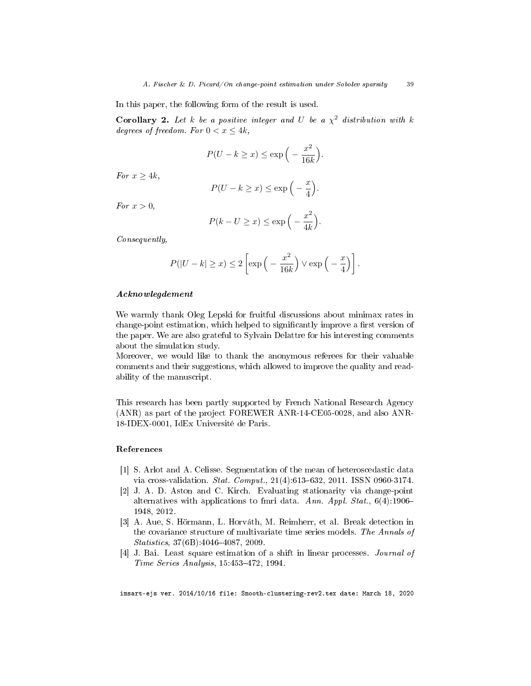In this paper, the following form of the result is used.

<span id="page-39-4"></span>**Corollary 2.** Let k be a positive integer and U be a  $\chi^2$  distribution with k degrees of freedom. For  $0 < x \leq 4k$ ,

$$
P(U - k \ge x) \le \exp\left(-\frac{x^2}{16k}\right).
$$

For  $x \geq 4k$ ,

$$
P(U - k \ge x) \le \exp\left(-\frac{x}{4}\right).
$$

For  $x > 0$ ,

$$
P(k - U \ge x) \le \exp\left(-\frac{x^2}{4k}\right).
$$

Consequently,

$$
P(|U - k| \ge x) \le 2\left[\exp\left(-\frac{x^2}{16k}\right) \vee \exp\left(-\frac{x}{4}\right)\right].
$$

#### Acknowlegdement

We warmly thank Oleg Lepski for fruitful discussions about minimax rates in change-point estimation, which helped to significantly improve a first version of the paper. We are also grateful to Sylvain Delattre for his interesting comments about the simulation study.

Moreover, we would like to thank the anonymous referees for their valuable comments and their suggestions, which allowed to improve the quality and readability of the manuscript.

This research has been partly supported by French National Research Agency (ANR) as part of the project FOREWER ANR-14-CE05-0028, and also ANR-18-IDEX-0001, IdEx Université de Paris.

#### References

- <span id="page-39-1"></span>[1] S. Arlot and A. Celisse. Segmentation of the mean of heteroscedastic data via cross-validation.  $Stat.$   $Comput.$ ,  $21(4):613-632$ ,  $2011.$  ISSN 0960-3174.
- <span id="page-39-0"></span>[2] J. A. D. Aston and C. Kirch. Evaluating stationarity via change-point alternatives with applications to fmri data. Ann. Appl. Stat.,  $6(4):1906-$ 1948, 2012.
- <span id="page-39-2"></span>[3] A. Aue, S. Hörmann, L. Horváth, M. Reimherr, et al. Break detection in the covariance structure of multivariate time series models. The Annals of  $Statistics, 37(6B):4046-4087, 2009.$
- <span id="page-39-3"></span>[4] J. Bai. Least square estimation of a shift in linear processes. Journal of Time Series Analysis, 15:453-472, 1994.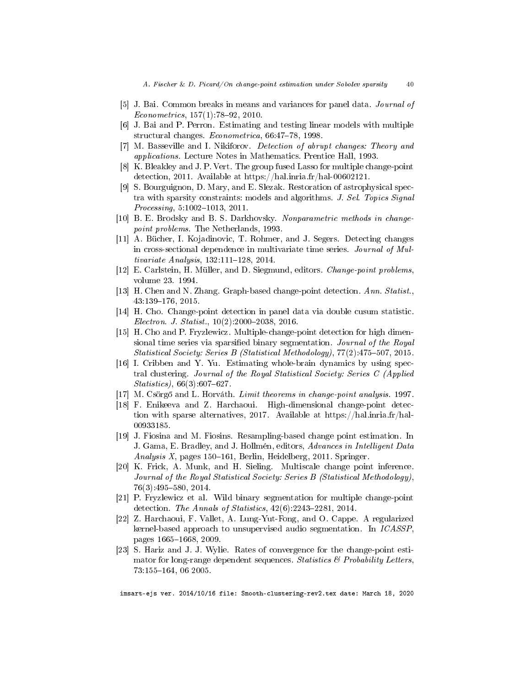- <span id="page-40-13"></span>[5] J. Bai. Common breaks in means and variances for panel data. Journal of  $Econometrics, 157(1): 78-92, 2010.$
- <span id="page-40-11"></span>[6] J. Bai and P. Perron. Estimating and testing linear models with multiple structural changes.  $Econometrica$ , 66:47-78, 1998.
- <span id="page-40-0"></span>[7] M. Basseville and I. Nikiforov. Detection of abrupt changes: Theory and applications. Lecture Notes in Mathematics. Prentice Hall, 1993.
- <span id="page-40-4"></span>[8] K. Bleakley and J. P. Vert. The group fused Lasso for multiple change-point detection, 2011. Available at https://hal.inria.fr/hal-00602121.
- <span id="page-40-5"></span>[9] S. Bourguignon, D. Mary, and E. Slezak. Restoration of astrophysical spectra with sparsity constraints: models and algorithms. J. Sel. Topics Signal  $Processing, 5:1002–1013, 2011.$
- <span id="page-40-1"></span>[10] B. E. Brodsky and B. S. Darkhovsky. Nonparametric methods in changepoint problems. The Netherlands, 1993.
- <span id="page-40-15"></span>[11] A. Bücher, I. Kojadinovic, T. Rohmer, and J. Segers. Detecting changes in cross-sectional dependence in multivariate time series. Journal of Mul $tivariate$   $Analysis, 132:111-128, 2014.$
- <span id="page-40-2"></span>[12] E. Carlstein, H. Müller, and D. Siegmund, editors. Change-point problems, volume 23. 1994.
- <span id="page-40-17"></span>[13] H. Chen and N. Zhang. Graph-based change-point detection. Ann. Statist.,  $43:139-176, 2015$ .
- <span id="page-40-14"></span>[14] H. Cho. Change-point detection in panel data via double cusum statistic.  $Electron$  J. Statist.,  $10(2):2000-2038$ ,  $2016$ .
- <span id="page-40-12"></span>[15] H. Cho and P. Fryzlewicz. Multiple-change-point detection for high dimensional time series via sparsified binary segmentation. Journal of the Royal Statistical Society: Series B (Statistical Methodology),  $77(2)$ :475-507, 2015.
- <span id="page-40-16"></span>[16] I. Cribben and Y. Yu. Estimating whole-brain dynamics by using spectral clustering. Journal of the Royal Statistical Society: Series C (Applied  $Statistics$ ), 66(3):607–627.
- <span id="page-40-3"></span>[17] M. Csörgő and L. Horváth. *Limit theorems in change-point analysis.* 1997.
- <span id="page-40-18"></span>[18] F. Enikeeva and Z. Harchaoui. High-dimensional change-point detection with sparse alternatives, 2017. Available at https://hal.inria.fr/hal-00933185.
- <span id="page-40-9"></span>[19] J. Fiosina and M. Fiosins. Resampling-based change point estimation. In J. Gama, E. Bradley, and J. Hollmén, editors, Advances in Intelligent Data Analysis  $X$ , pages 150–161, Berlin, Heidelberg, 2011. Springer.
- <span id="page-40-8"></span>[20] K. Frick, A. Munk, and H. Sieling. Multiscale change point inference. Journal of the Royal Statistical Society: Series B (Statistical Methodology), 76(3):495-580, 2014.
- <span id="page-40-7"></span>[21] P. Fryzlewicz et al. Wild binary segmentation for multiple change-point detection. The Annals of Statistics,  $42(6):2243-2281$ , 2014.
- <span id="page-40-6"></span>[22] Z. Harchaoui, F. Vallet, A. Lung-Yut-Fong, and O. Cappe. A regularized kernel-based approach to unsupervised audio segmentation. In ICASSP, pages 1665–1668, 2009.
- <span id="page-40-10"></span>[23] S. Hariz and J. J. Wylie. Rates of convergence for the change-point estimator for long-range dependent sequences. Statistics  $\mathcal{B}$  Probability Letters, 73:155-164, 06 2005.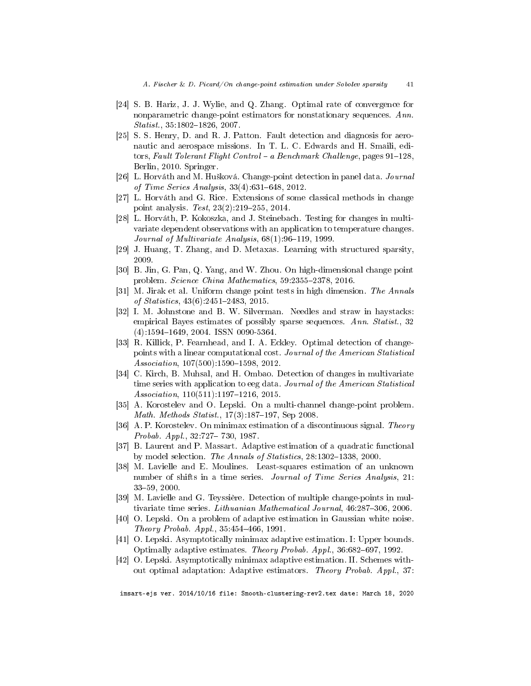- <span id="page-41-5"></span>[24] S. B. Hariz, J. J. Wylie, and Q. Zhang. Optimal rate of convergence for nonparametric change-point estimators for nonstationary sequences. Ann.  $Statist., 35:1802–1826, 2007.$
- <span id="page-41-1"></span>[25] S. S. Henry, D. and R. J. Patton. Fault detection and diagnosis for aeronautic and aerospace missions. In T. L. C. Edwards and H. Smaili, editors, Fault Tolerant Flight Control - a Benchmark Challenge, pages  $91-128$ , Berlin, 2010. Springer.
- <span id="page-41-8"></span>[26] L. Horváth and M. Hušková. Change-point detection in panel data. *Journal* of Time Series Analysis,  $33(4)$ :631–648, 2012.
- <span id="page-41-0"></span>[27] L. Horváth and G. Rice. Extensions of some classical methods in change point analysis. Test,  $23(2):219-255$ ,  $2014$ .
- <span id="page-41-3"></span>[28] L. Horváth, P. Kokoszka, and J. Steinebach. Testing for changes in multivariate dependent observations with an application to temperature changes. Journal of Multivariate Analysis,  $68(1)$ : 96-119, 1999.
- <span id="page-41-17"></span>[29] J. Huang, T. Zhang, and D. Metaxas. Learning with structured sparsity, 2009.
- <span id="page-41-10"></span>[30] B. Jin, G. Pan, Q. Yang, and W. Zhou. On high-dimensional change point problem. Science China Mathematics, 59:2355-2378, 2016.
- <span id="page-41-7"></span>[31] M. Jirak et al. Uniform change point tests in high dimension. The Annals of Statistics,  $43(6)$ :  $2451-2483$ ,  $2015$ .
- <span id="page-41-16"></span>[32] I. M. Johnstone and B. W. Silverman. Needles and straw in haystacks: empirical Bayes estimates of possibly sparse sequences. Ann. Statist., 32  $(4):1594-1649, 2004.$  ISSN 0090-5364.
- <span id="page-41-2"></span>[33] R. Killick, P. Fearnhead, and I. A. Eckley. Optimal detection of changepoints with a linear computational cost. Journal of the American Statistical  $Association, 107(500):1590-1598, 2012.$
- <span id="page-41-4"></span>[34] C. Kirch, B. Muhsal, and H. Ombao. Detection of changes in multivariate time series with application to eeg data. Journal of the American Statistical  $Association, 110(511):1197-1216, 2015.$
- <span id="page-41-12"></span>[35] A. Korostelev and O. Lepski. On a multi-channel change-point problem. Math. Methods Statist.,  $17(3):187-197$ , Sep 2008.
- <span id="page-41-11"></span>[36] A. P. Korostelev. On minimax estimation of a discontinuous signal. Theory *Probab. Appl.*,  $32:727 - 730, 1987$ .
- <span id="page-41-18"></span>[37] B. Laurent and P. Massart. Adaptive estimation of a quadratic functional by model selection. The Annals of Statistics, 28:1302-1338, 2000.
- <span id="page-41-6"></span>[38] M. Lavielle and E. Moulines. Least-squares estimation of an unknown number of shifts in a time series. Journal of Time Series Analysis, 21: 3359, 2000.
- <span id="page-41-9"></span>[39] M. Lavielle and G. Teyssière. Detection of multiple change-points in multivariate time series. Lithuanian Mathematical Journal, 46:287-306, 2006.
- <span id="page-41-13"></span>[40] O. Lepski. On a problem of adaptive estimation in Gaussian white noise.  $Theory \; Probab. \; Appl., \; 35.454-466, \; 1991.$
- <span id="page-41-14"></span>[41] O. Lepski. Asymptotically minimax adaptive estimation. I: Upper bounds. Optimally adaptive estimates. Theory Probab.  $Appl.$ , 36:682-697, 1992.
- <span id="page-41-15"></span>[42] O. Lepski. Asymptotically minimax adaptive estimation. II. Schemes without optimal adaptation: Adaptive estimators. Theory Probab. Appl., 37: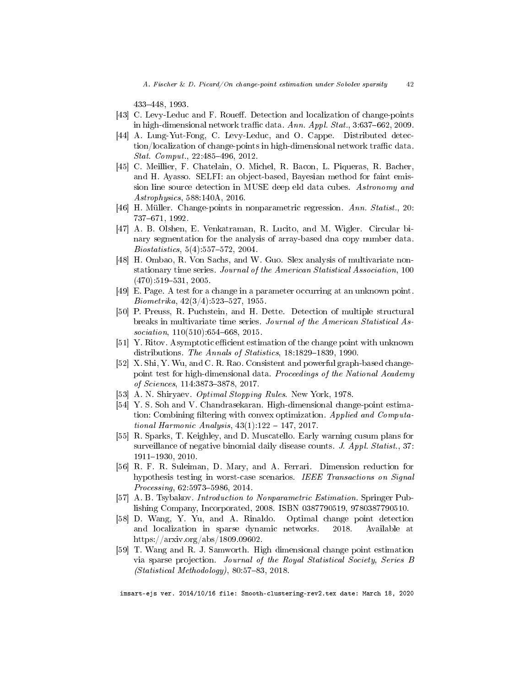433448, 1993.

- <span id="page-42-6"></span>[43] C. Levy-Leduc and F. Roueff. Detection and localization of change-points in high-dimensional network traffic data. Ann. Appl.  $Stat.$ ,  $3:637-662$ , 2009.
- <span id="page-42-7"></span>[44] A. Lung-Yut-Fong, C. Levy-Leduc, and O. Cappe. Distributed detection/localization of change-points in high-dimensional network traffic data.  $Stat.$   $Comput., 22:485-496, 2012.$
- <span id="page-42-9"></span>[45] C. Meillier, F. Chatelain, O. Michel, R. Bacon, L. Piqueras, R. Bacher, and H. Ayasso. SELFI: an object-based, Bayesian method for faint emission line source detection in MUSE deep eld data cubes. Astronomy and Astrophysics, 588:140A, 2016.
- <span id="page-42-3"></span>[46] H. Müller. Change-points in nonparametric regression. Ann. Statist., 20: 737671, 1992.
- <span id="page-42-4"></span>[47] A. B. Olshen, E. Venkatraman, R. Lucito, and M. Wigler. Circular binary segmentation for the analysis of array-based dna copy number data.  $Biostatistics, 5(4): 557-572, 2004.$
- <span id="page-42-10"></span>[48] H. Ombao, R. Von Sachs, and W. Guo. Slex analysis of multivariate nonstationary time series. Journal of the American Statistical Association, 100  $(470):519-531, 2005.$
- <span id="page-42-0"></span>[49] E. Page. A test for a change in a parameter occurring at an unknown point.  $Biometrika, 42(3/4), 523–527, 1955.$
- <span id="page-42-11"></span>[50] P. Preuss, R. Puchstein, and H. Dette. Detection of multiple structural breaks in multivariate time series. Journal of the American Statistical As $sociation, 110(510).654–668, 2015.$
- <span id="page-42-2"></span>[51] Y. Ritov. Asymptotic efficient estimation of the change point with unknown distributions. The Annals of Statistics,  $18:1829-1839$ , 1990.
- <span id="page-42-13"></span>[52] X. Shi, Y. Wu, and C. R. Rao. Consistent and powerful graph-based changepoint test for high-dimensional data. Proceedings of the National Academy of Sciences, 114:3873-3878, 2017.
- <span id="page-42-1"></span>[53] A. N. Shiryaev. Optimal Stopping Rules. New York, 1978.
- <span id="page-42-12"></span>[54] Y. S. Soh and V. Chandrasekaran. High-dimensional change-point estimation: Combining filtering with convex optimization. Applied and Computational Harmonic Analysis,  $43(1):122-147, 2017$ .
- <span id="page-42-5"></span>[55] R. Sparks, T. Keighley, and D. Muscatello. Early warning cusum plans for surveillance of negative binomial daily disease counts. J. Appl. Statist., 37: 1911-1930, 2010.
- <span id="page-42-8"></span>[56] R. F. R. Suleiman, D. Mary, and A. Ferrari. Dimension reduction for hypothesis testing in worst-case scenarios. IEEE Transactions on Signal  $Processing, 62:5973–5986, 2014.$
- <span id="page-42-15"></span>[57] A. B. Tsybakov. Introduction to Nonparametric Estimation. Springer Publishing Company, Incorporated, 2008. ISBN 0387790519, 9780387790510.
- <span id="page-42-16"></span>[58] D. Wang, Y. Yu, and A. Rinaldo. Optimal change point detection and localization in sparse dynamic networks. 2018. Available at https://arxiv.org/abs/1809.09602.
- <span id="page-42-14"></span>[59] T. Wang and R. J. Samworth. High dimensional change point estimation via sparse projection. Journal of the Royal Statistical Society, Series B  $(Statistical Methodology), 80:57-83, 2018.$